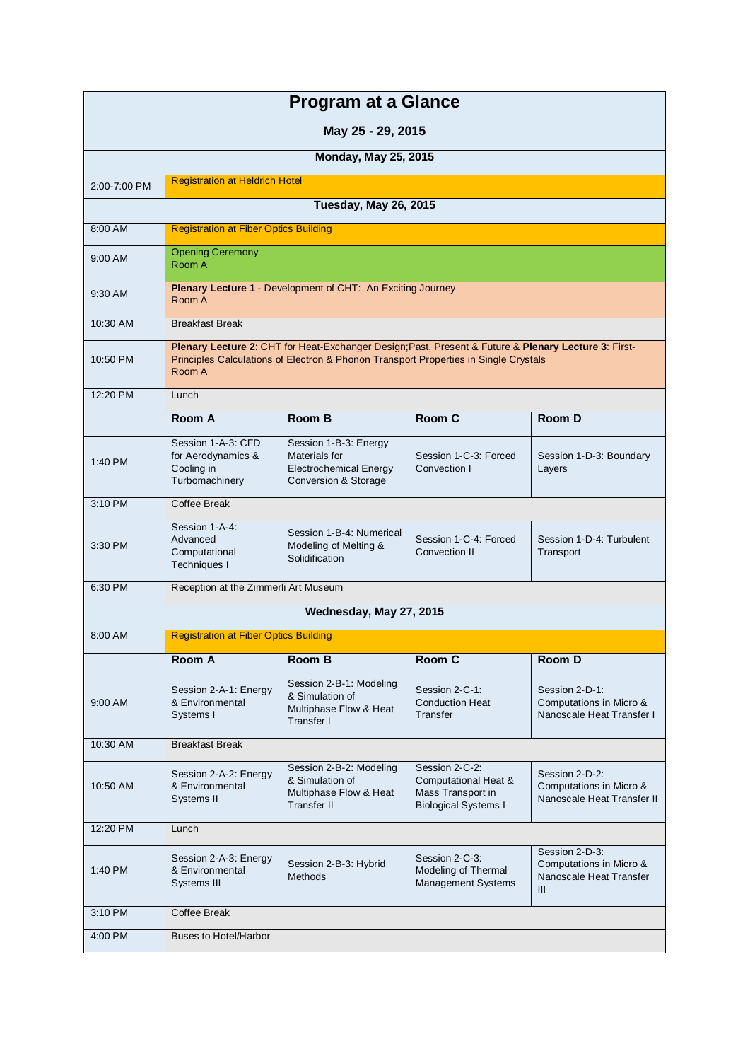| <b>Program at a Glance</b>  |                                                                          |                                                                                                                                                                                              |                                                                                            |                                                                             |  |
|-----------------------------|--------------------------------------------------------------------------|----------------------------------------------------------------------------------------------------------------------------------------------------------------------------------------------|--------------------------------------------------------------------------------------------|-----------------------------------------------------------------------------|--|
| May 25 - 29, 2015           |                                                                          |                                                                                                                                                                                              |                                                                                            |                                                                             |  |
| <b>Monday, May 25, 2015</b> |                                                                          |                                                                                                                                                                                              |                                                                                            |                                                                             |  |
| 2:00-7:00 PM                | <b>Registration at Heldrich Hotel</b>                                    |                                                                                                                                                                                              |                                                                                            |                                                                             |  |
|                             |                                                                          | Tuesday, May 26, 2015                                                                                                                                                                        |                                                                                            |                                                                             |  |
| 8:00 AM                     | <b>Registration at Fiber Optics Building</b>                             |                                                                                                                                                                                              |                                                                                            |                                                                             |  |
| 9:00 AM                     | <b>Opening Ceremony</b><br>Room A                                        |                                                                                                                                                                                              |                                                                                            |                                                                             |  |
| 9:30 AM                     | Room A                                                                   | Plenary Lecture 1 - Development of CHT: An Exciting Journey                                                                                                                                  |                                                                                            |                                                                             |  |
| 10:30 AM                    | <b>Breakfast Break</b>                                                   |                                                                                                                                                                                              |                                                                                            |                                                                             |  |
| 10:50 PM                    | Room A                                                                   | Plenary Lecture 2: CHT for Heat-Exchanger Design; Past, Present & Future & Plenary Lecture 3: First-<br>Principles Calculations of Electron & Phonon Transport Properties in Single Crystals |                                                                                            |                                                                             |  |
| $12:20$ PM                  | Lunch                                                                    |                                                                                                                                                                                              |                                                                                            |                                                                             |  |
|                             | Room A                                                                   | Room B                                                                                                                                                                                       | Room C                                                                                     | Room D                                                                      |  |
| 1:40 PM                     | Session 1-A-3: CFD<br>for Aerodynamics &<br>Cooling in<br>Turbomachinery | Session 1-B-3: Energy<br>Materials for<br><b>Electrochemical Energy</b><br><b>Conversion &amp; Storage</b>                                                                                   | Session 1-C-3: Forced<br>Convection I                                                      | Session 1-D-3: Boundary<br>Layers                                           |  |
| 3:10 PM                     | Coffee Break                                                             |                                                                                                                                                                                              |                                                                                            |                                                                             |  |
| 3:30 PM                     | Session 1-A-4:<br>Advanced<br>Computational<br>Techniques I              | Session 1-B-4: Numerical<br>Modeling of Melting &<br>Solidification                                                                                                                          | Session 1-C-4: Forced<br>Convection II                                                     | Session 1-D-4: Turbulent<br>Transport                                       |  |
| 6:30 PM                     | Reception at the Zimmerli Art Museum                                     |                                                                                                                                                                                              |                                                                                            |                                                                             |  |
|                             |                                                                          | Wednesday, May 27, 2015                                                                                                                                                                      |                                                                                            |                                                                             |  |
| 8:00 AM                     | <b>Registration at Fiber Optics Building</b>                             |                                                                                                                                                                                              |                                                                                            |                                                                             |  |
|                             | Room A                                                                   | <b>Room B</b>                                                                                                                                                                                | Room C                                                                                     | <b>Room D</b>                                                               |  |
| 9:00 AM                     | Session 2-A-1: Energy<br>& Environmental<br>Systems I                    | Session 2-B-1: Modeling<br>& Simulation of<br>Multiphase Flow & Heat<br>Transfer I                                                                                                           | Session 2-C-1:<br><b>Conduction Heat</b><br>Transfer                                       | Session 2-D-1:<br>Computations in Micro &<br>Nanoscale Heat Transfer I      |  |
| 10:30 AM                    | <b>Breakfast Break</b>                                                   |                                                                                                                                                                                              |                                                                                            |                                                                             |  |
| 10:50 AM                    | Session 2-A-2: Energy<br>& Environmental<br>Systems II                   | Session 2-B-2: Modeling<br>& Simulation of<br>Multiphase Flow & Heat<br><b>Transfer II</b>                                                                                                   | Session 2-C-2:<br>Computational Heat &<br>Mass Transport in<br><b>Biological Systems I</b> | Session 2-D-2:<br>Computations in Micro &<br>Nanoscale Heat Transfer II     |  |
| 12:20 PM                    | Lunch                                                                    |                                                                                                                                                                                              |                                                                                            |                                                                             |  |
| 1:40 PM                     | Session 2-A-3: Energy<br>& Environmental<br>Systems III                  | Session 2-B-3: Hybrid<br>Methods                                                                                                                                                             | Session 2-C-3:<br>Modeling of Thermal<br><b>Management Systems</b>                         | Session 2-D-3:<br>Computations in Micro &<br>Nanoscale Heat Transfer<br>III |  |
| 3:10 PM                     | Coffee Break                                                             |                                                                                                                                                                                              |                                                                                            |                                                                             |  |
| 4:00 PM                     | <b>Buses to Hotel/Harbor</b>                                             |                                                                                                                                                                                              |                                                                                            |                                                                             |  |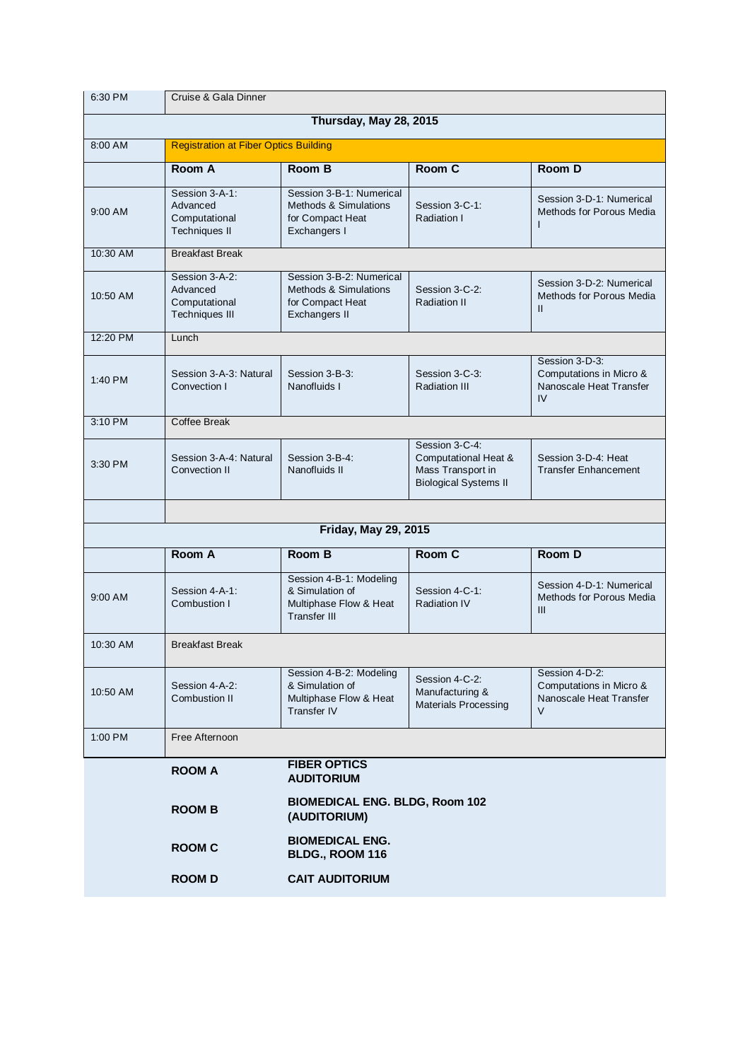| 6:30 PM                     | Cruise & Gala Dinner                                                 |                                                                                                   |                                                                                             |                                                                                |
|-----------------------------|----------------------------------------------------------------------|---------------------------------------------------------------------------------------------------|---------------------------------------------------------------------------------------------|--------------------------------------------------------------------------------|
| Thursday, May 28, 2015      |                                                                      |                                                                                                   |                                                                                             |                                                                                |
| 8:00 AM                     | <b>Registration at Fiber Optics Building</b>                         |                                                                                                   |                                                                                             |                                                                                |
|                             | Room A                                                               | Room B                                                                                            | Room C                                                                                      | Room D                                                                         |
| 9:00 AM                     | Session 3-A-1:<br>Advanced<br>Computational<br><b>Techniques II</b>  | Session 3-B-1: Numerical<br><b>Methods &amp; Simulations</b><br>for Compact Heat<br>Exchangers I  | Session 3-C-1:<br>Radiation I                                                               | Session 3-D-1: Numerical<br>Methods for Porous Media<br>ı                      |
| 10:30 AM                    | <b>Breakfast Break</b>                                               |                                                                                                   |                                                                                             |                                                                                |
| 10:50 AM                    | Session 3-A-2:<br>Advanced<br>Computational<br><b>Techniques III</b> | Session 3-B-2: Numerical<br><b>Methods &amp; Simulations</b><br>for Compact Heat<br>Exchangers II | Session 3-C-2:<br><b>Radiation II</b>                                                       | Session 3-D-2: Numerical<br>Methods for Porous Media<br>Ш                      |
| 12:20 PM                    | Lunch                                                                |                                                                                                   |                                                                                             |                                                                                |
| 1:40 PM                     | Session 3-A-3: Natural<br>Convection I                               | Session 3-B-3:<br>Nanofluids I                                                                    | Session 3-C-3:<br><b>Radiation III</b>                                                      | Session 3-D-3:<br>Computations in Micro &<br>Nanoscale Heat Transfer<br>IV     |
| 3:10 PM                     | Coffee Break                                                         |                                                                                                   |                                                                                             |                                                                                |
| 3:30 PM                     | Session 3-A-4: Natural<br>Convection II                              | Session 3-B-4:<br>Nanofluids II                                                                   | Session 3-C-4:<br>Computational Heat &<br>Mass Transport in<br><b>Biological Systems II</b> | Session 3-D-4: Heat<br><b>Transfer Enhancement</b>                             |
|                             |                                                                      |                                                                                                   |                                                                                             |                                                                                |
| <b>Friday, May 29, 2015</b> |                                                                      |                                                                                                   |                                                                                             |                                                                                |
|                             | <b>Room A</b>                                                        | Room B                                                                                            | Room C                                                                                      | Room D                                                                         |
| $9:00$ AM                   | Session 4-A-1:<br>Combustion I                                       | Session 4-B-1: Modeling<br>& Simulation of<br>Multiphase Flow & Heat<br><b>Transfer III</b>       | Session 4-C-1:<br><b>Radiation IV</b>                                                       | Session 4-D-1: Numerical<br>Methods for Porous Media<br>III                    |
| 10:30 AM                    | <b>Breakfast Break</b>                                               |                                                                                                   |                                                                                             |                                                                                |
| 10:50 AM                    | Session 4-A-2:<br>Combustion II                                      | Session 4-B-2: Modeling<br>& Simulation of<br>Multiphase Flow & Heat<br><b>Transfer IV</b>        | Session 4-C-2:<br>Manufacturing &<br><b>Materials Processing</b>                            | Session 4-D-2:<br>Computations in Micro &<br>Nanoscale Heat Transfer<br>$\vee$ |
| 1:00 PM                     | Free Afternoon                                                       |                                                                                                   |                                                                                             |                                                                                |
|                             | <b>ROOM A</b>                                                        | <b>FIBER OPTICS</b><br><b>AUDITORIUM</b>                                                          |                                                                                             |                                                                                |
|                             | <b>ROOM B</b>                                                        | <b>BIOMEDICAL ENG. BLDG, Room 102</b><br>(AUDITORIUM)                                             |                                                                                             |                                                                                |
|                             | <b>ROOM C</b>                                                        | <b>BIOMEDICAL ENG.</b><br>BLDG., ROOM 116                                                         |                                                                                             |                                                                                |
|                             | <b>ROOMD</b>                                                         | <b>CAIT AUDITORIUM</b>                                                                            |                                                                                             |                                                                                |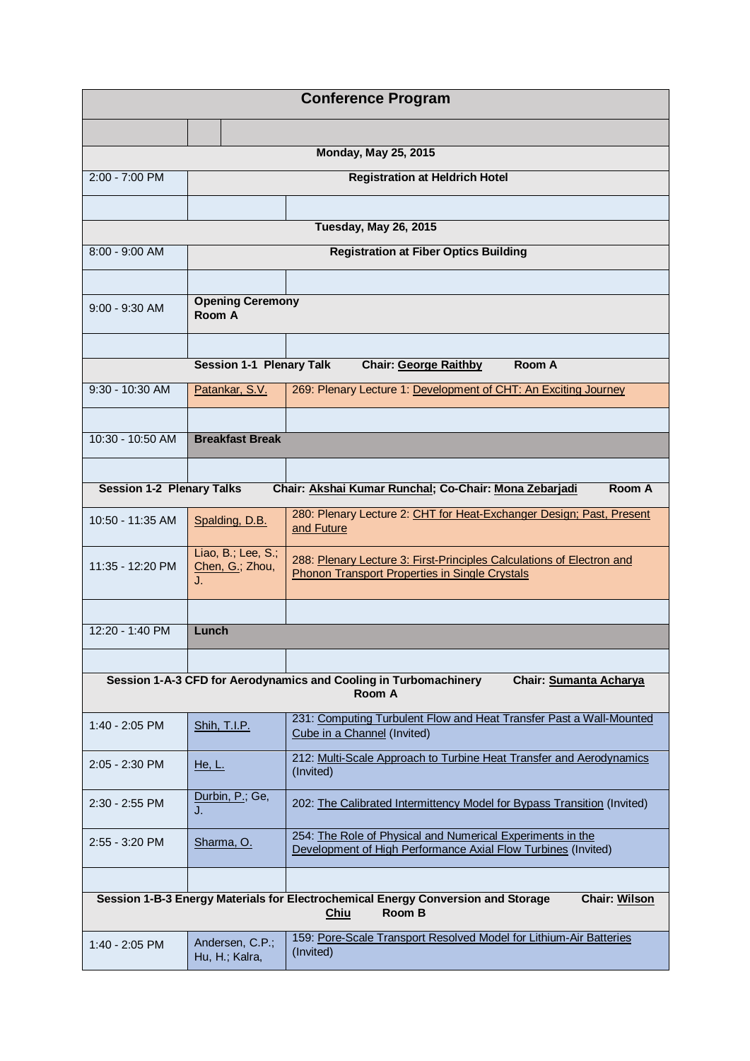| <b>Conference Program</b>                                                                                                                |                                             |                                                                                                                                |  |  |
|------------------------------------------------------------------------------------------------------------------------------------------|---------------------------------------------|--------------------------------------------------------------------------------------------------------------------------------|--|--|
|                                                                                                                                          |                                             |                                                                                                                                |  |  |
|                                                                                                                                          | <b>Monday, May 25, 2015</b>                 |                                                                                                                                |  |  |
| $2:00 - 7:00$ PM                                                                                                                         |                                             | <b>Registration at Heldrich Hotel</b>                                                                                          |  |  |
|                                                                                                                                          |                                             |                                                                                                                                |  |  |
|                                                                                                                                          |                                             | <b>Tuesday, May 26, 2015</b>                                                                                                   |  |  |
| $8:00 - 9:00$ AM                                                                                                                         |                                             | <b>Registration at Fiber Optics Building</b>                                                                                   |  |  |
|                                                                                                                                          | <b>Opening Ceremony</b>                     |                                                                                                                                |  |  |
| $9:00 - 9:30$ AM                                                                                                                         | Room A                                      |                                                                                                                                |  |  |
|                                                                                                                                          |                                             |                                                                                                                                |  |  |
|                                                                                                                                          | <b>Session 1-1 Plenary Talk</b>             | Room A<br><b>Chair: George Raithby</b>                                                                                         |  |  |
| 9:30 - 10:30 AM                                                                                                                          | Patankar, S.V.                              | 269: Plenary Lecture 1: Development of CHT: An Exciting Journey                                                                |  |  |
|                                                                                                                                          |                                             |                                                                                                                                |  |  |
| 10:30 - 10:50 AM                                                                                                                         | <b>Breakfast Break</b>                      |                                                                                                                                |  |  |
|                                                                                                                                          |                                             |                                                                                                                                |  |  |
| <b>Session 1-2 Plenary Talks</b>                                                                                                         |                                             | Chair: Akshai Kumar Runchal; Co-Chair: Mona Zebarjadi<br>Room A                                                                |  |  |
| 10:50 - 11:35 AM                                                                                                                         | Spalding, D.B.                              | 280: Plenary Lecture 2: CHT for Heat-Exchanger Design; Past, Present<br>and Future                                             |  |  |
| 11:35 - 12:20 PM                                                                                                                         | Liao, B.; Lee, S.;<br>Chen, G.; Zhou,<br>J. | 288: Plenary Lecture 3: First-Principles Calculations of Electron and<br><b>Phonon Transport Properties in Single Crystals</b> |  |  |
|                                                                                                                                          |                                             |                                                                                                                                |  |  |
| 12:20 - 1:40 PM                                                                                                                          | Lunch                                       |                                                                                                                                |  |  |
|                                                                                                                                          |                                             |                                                                                                                                |  |  |
|                                                                                                                                          |                                             | Session 1-A-3 CFD for Aerodynamics and Cooling in Turbomachinery<br>Chair: Sumanta Acharya<br>Room A                           |  |  |
| $1:40 - 2:05$ PM                                                                                                                         | Shih, T.I.P.                                | 231: Computing Turbulent Flow and Heat Transfer Past a Wall-Mounted<br>Cube in a Channel (Invited)                             |  |  |
| 2:05 - 2:30 PM                                                                                                                           | He, L.                                      | 212: Multi-Scale Approach to Turbine Heat Transfer and Aerodynamics<br>(Invited)                                               |  |  |
| $2:30 - 2:55$ PM                                                                                                                         | Durbin, P.; Ge,<br>J.                       | 202: The Calibrated Intermittency Model for Bypass Transition (Invited)                                                        |  |  |
| 2:55 - 3:20 PM                                                                                                                           | Sharma, O.                                  | 254: The Role of Physical and Numerical Experiments in the<br>Development of High Performance Axial Flow Turbines (Invited)    |  |  |
|                                                                                                                                          |                                             |                                                                                                                                |  |  |
| Session 1-B-3 Energy Materials for Electrochemical Energy Conversion and Storage<br><b>Chair: Wilson</b><br><b>Room B</b><br><b>Chiu</b> |                                             |                                                                                                                                |  |  |
| 1:40 - 2:05 PM                                                                                                                           | Andersen, C.P.;<br>Hu, H.; Kalra,           | 159: Pore-Scale Transport Resolved Model for Lithium-Air Batteries<br>(Invited)                                                |  |  |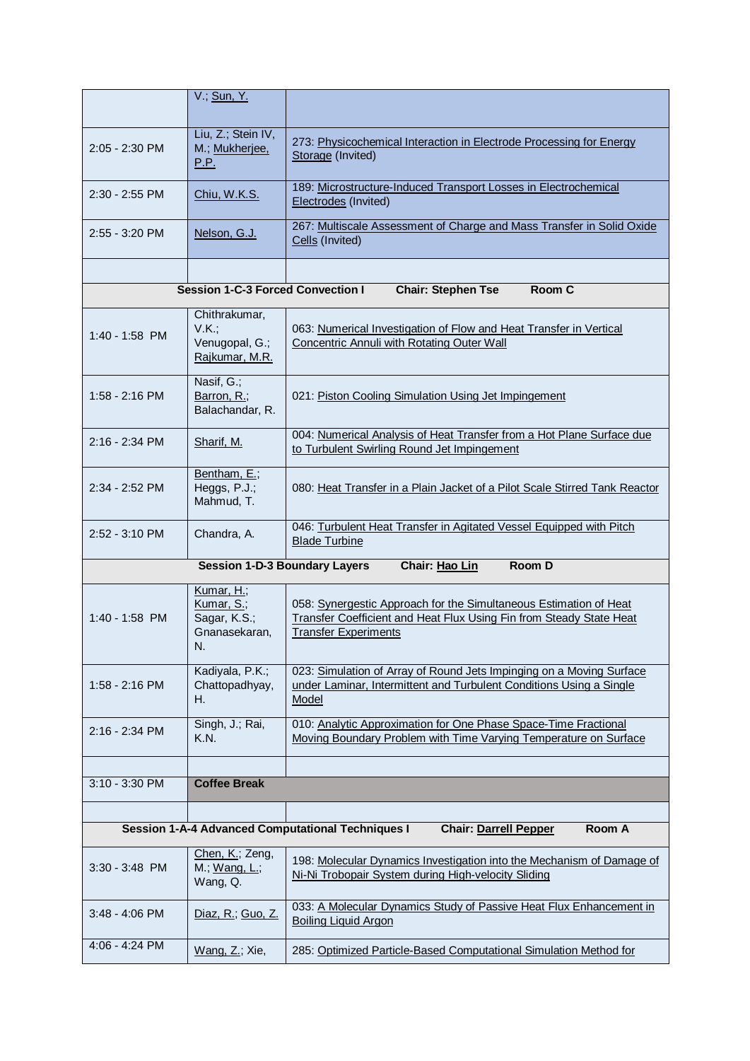|                                                                                                    | V.; Sun, Y.                                                     |                                                                                                                                                                         |  |
|----------------------------------------------------------------------------------------------------|-----------------------------------------------------------------|-------------------------------------------------------------------------------------------------------------------------------------------------------------------------|--|
| $2:05 - 2:30$ PM                                                                                   | Liu, Z.; Stein IV,<br>M.; Mukherjee,<br><u>P.P.</u>             | 273: Physicochemical Interaction in Electrode Processing for Energy<br>Storage (Invited)                                                                                |  |
| $2:30 - 2:55$ PM                                                                                   | Chiu, W.K.S.                                                    | 189: Microstructure-Induced Transport Losses in Electrochemical<br>Electrodes (Invited)                                                                                 |  |
| $2:55 - 3:20$ PM                                                                                   | Nelson, G.J.                                                    | 267: Multiscale Assessment of Charge and Mass Transfer in Solid Oxide<br>Cells (Invited)                                                                                |  |
|                                                                                                    |                                                                 |                                                                                                                                                                         |  |
|                                                                                                    | <b>Session 1-C-3 Forced Convection I</b>                        | <b>Chair: Stephen Tse</b><br>Room C                                                                                                                                     |  |
| $1:40 - 1:58$ PM                                                                                   | Chithrakumar,<br>V.K.:<br>Venugopal, G.;<br>Rajkumar, M.R.      | 063: Numerical Investigation of Flow and Heat Transfer in Vertical<br>Concentric Annuli with Rotating Outer Wall                                                        |  |
| 1:58 - 2:16 PM                                                                                     | Nasif, G.;<br>Barron, R.;<br>Balachandar, R.                    | 021: Piston Cooling Simulation Using Jet Impingement                                                                                                                    |  |
| 2:16 - 2:34 PM                                                                                     | Sharif, M.                                                      | 004: Numerical Analysis of Heat Transfer from a Hot Plane Surface due<br>to Turbulent Swirling Round Jet Impingement                                                    |  |
| 2:34 - 2:52 PM                                                                                     | Bentham, E.;<br>Heggs, P.J.;<br>Mahmud, T.                      | 080: Heat Transfer in a Plain Jacket of a Pilot Scale Stirred Tank Reactor                                                                                              |  |
| $2:52 - 3:10 \text{ PM}$                                                                           | Chandra, A.                                                     | 046: Turbulent Heat Transfer in Agitated Vessel Equipped with Pitch<br><b>Blade Turbine</b>                                                                             |  |
|                                                                                                    | <b>Session 1-D-3 Boundary Layers</b>                            | Chair: Hao Lin<br>Room D                                                                                                                                                |  |
| 1:40 - 1:58 PM                                                                                     | Kumar, H.;<br>Kumar, S.;<br>Sagar, K.S.;<br>Gnanasekaran,<br>N. | 058: Synergestic Approach for the Simultaneous Estimation of Heat<br>Transfer Coefficient and Heat Flux Using Fin from Steady State Heat<br><b>Transfer Experiments</b> |  |
| 1:58 - 2:16 PM                                                                                     | Kadiyala, P.K.;<br>Chattopadhyay,<br>Н.                         | 023: Simulation of Array of Round Jets Impinging on a Moving Surface<br>under Laminar, Intermittent and Turbulent Conditions Using a Single<br>Model                    |  |
| 2:16 - 2:34 PM                                                                                     | Singh, J.; Rai,<br><b>K.N.</b>                                  | 010: Analytic Approximation for One Phase Space-Time Fractional<br>Moving Boundary Problem with Time Varying Temperature on Surface                                     |  |
|                                                                                                    |                                                                 |                                                                                                                                                                         |  |
| $3:10 - 3:30$ PM                                                                                   | <b>Coffee Break</b>                                             |                                                                                                                                                                         |  |
| <b>Session 1-A-4 Advanced Computational Techniques I</b><br><b>Chair: Darrell Pepper</b><br>Room A |                                                                 |                                                                                                                                                                         |  |
|                                                                                                    |                                                                 |                                                                                                                                                                         |  |
| 3:30 - 3:48 PM                                                                                     | Chen, K.; Zeng,<br>M.; Wang, L.;<br>Wang, Q.                    | 198: Molecular Dynamics Investigation into the Mechanism of Damage of<br>Ni-Ni Trobopair System during High-velocity Sliding                                            |  |
| $3:48 - 4:06$ PM                                                                                   | Diaz, R.; Guo, Z.                                               | 033: A Molecular Dynamics Study of Passive Heat Flux Enhancement in<br><b>Boiling Liquid Argon</b>                                                                      |  |
| 4:06 - 4:24 PM                                                                                     | Wang, Z.; Xie,                                                  | 285: Optimized Particle-Based Computational Simulation Method for                                                                                                       |  |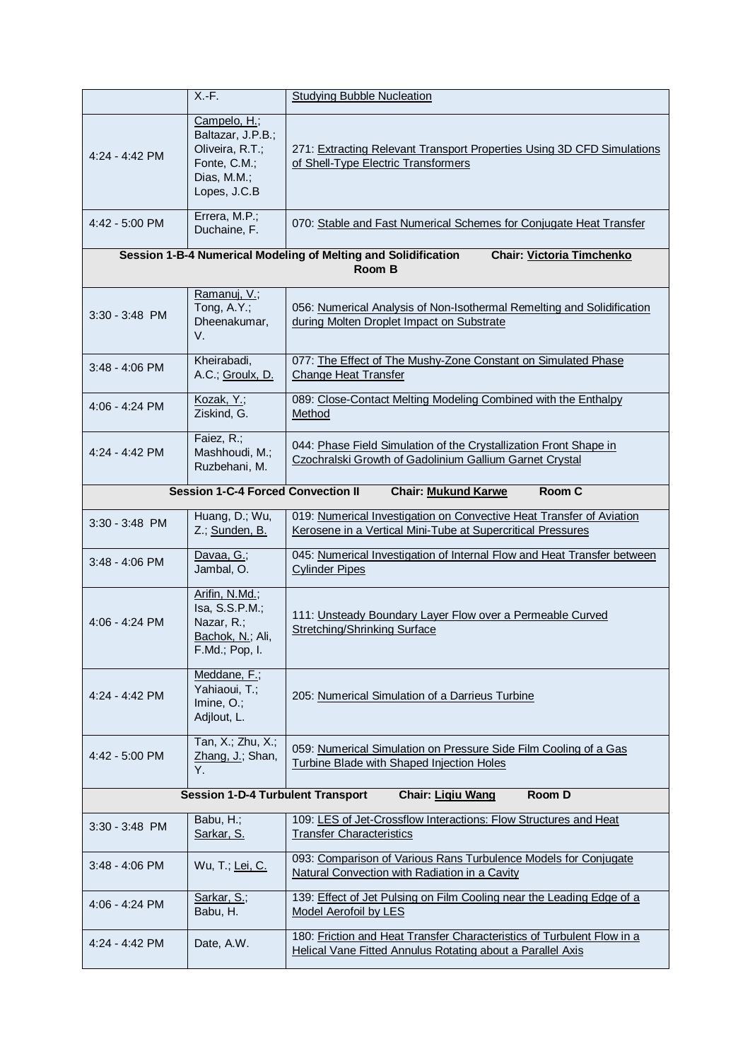|                                                                                | $X.-F.$                                                                                             | <b>Studying Bubble Nucleation</b>                                                                                                    |  |  |
|--------------------------------------------------------------------------------|-----------------------------------------------------------------------------------------------------|--------------------------------------------------------------------------------------------------------------------------------------|--|--|
| $4:24 - 4:42$ PM                                                               | Campelo, H.;<br>Baltazar, J.P.B.;<br>Oliveira, R.T.;<br>Fonte, C.M.;<br>Dias, M.M.;<br>Lopes, J.C.B | 271: Extracting Relevant Transport Properties Using 3D CFD Simulations<br>of Shell-Type Electric Transformers                        |  |  |
| 4:42 - 5:00 PM                                                                 | Errera, M.P.;<br>Duchaine, F.                                                                       | 070: Stable and Fast Numerical Schemes for Conjugate Heat Transfer                                                                   |  |  |
|                                                                                |                                                                                                     | Session 1-B-4 Numerical Modeling of Melting and Solidification<br><b>Chair: Victoria Timchenko</b><br>Room B                         |  |  |
| 3:30 - 3:48 PM                                                                 | Ramanuj, V.;<br>Tong, A.Y.;<br>Dheenakumar,<br>V.                                                   | 056: Numerical Analysis of Non-Isothermal Remelting and Solidification<br>during Molten Droplet Impact on Substrate                  |  |  |
| $3:48 - 4:06$ PM                                                               | Kheirabadi,<br>A.C.; Groulx, D.                                                                     | 077: The Effect of The Mushy-Zone Constant on Simulated Phase<br><b>Change Heat Transfer</b>                                         |  |  |
| 4:06 - 4:24 PM                                                                 | Kozak, Y.;<br>Ziskind, G.                                                                           | 089: Close-Contact Melting Modeling Combined with the Enthalpy<br>Method                                                             |  |  |
| $4:24 - 4:42$ PM                                                               | Faiez, R.;<br>Mashhoudi, M.;<br>Ruzbehani, M.                                                       | 044: Phase Field Simulation of the Crystallization Front Shape in<br>Czochralski Growth of Gadolinium Gallium Garnet Crystal         |  |  |
|                                                                                | <b>Session 1-C-4 Forced Convection II</b><br>Room C<br><b>Chair: Mukund Karwe</b>                   |                                                                                                                                      |  |  |
| 3:30 - 3:48 PM                                                                 | Huang, D.; Wu,<br>Z.; Sunden, B.                                                                    | 019: Numerical Investigation on Convective Heat Transfer of Aviation<br>Kerosene in a Vertical Mini-Tube at Supercritical Pressures  |  |  |
| $3:48 - 4:06$ PM                                                               | Davaa, G.;<br>Jambal, O.                                                                            | 045: Numerical Investigation of Internal Flow and Heat Transfer between<br><b>Cylinder Pipes</b>                                     |  |  |
| 4:06 - 4:24 PM                                                                 | Arifin, N.Md.;<br>Isa, S.S.P.M.;<br>Nazar, R.;<br>Bachok, N.; Ali,<br>F.Md.; Pop, I.                | 111: Unsteady Boundary Layer Flow over a Permeable Curved<br>Stretching/Shrinking Surface                                            |  |  |
| $4:24 - 4:42$ PM                                                               | Meddane, F.;<br>Yahiaoui, T.;<br>Imine, $O$ .;<br>Adjlout, L.                                       | 205: Numerical Simulation of a Darrieus Turbine                                                                                      |  |  |
| 4:42 - 5:00 PM                                                                 | Tan, X.; Zhu, X.;<br>Zhang, J.; Shan,<br>Υ.                                                         | 059: Numerical Simulation on Pressure Side Film Cooling of a Gas<br>Turbine Blade with Shaped Injection Holes                        |  |  |
| <b>Session 1-D-4 Turbulent Transport</b><br>Chair: Ligiu Wang<br><b>Room D</b> |                                                                                                     |                                                                                                                                      |  |  |
| $3:30 - 3:48$ PM                                                               | Babu, H.;<br>Sarkar, S.                                                                             | 109: LES of Jet-Crossflow Interactions: Flow Structures and Heat<br><b>Transfer Characteristics</b>                                  |  |  |
| 3:48 - 4:06 PM                                                                 | Wu, T.; Lei, C.                                                                                     | 093: Comparison of Various Rans Turbulence Models for Conjugate<br>Natural Convection with Radiation in a Cavity                     |  |  |
| 4:06 - 4:24 PM                                                                 | Sarkar, S.;<br>Babu, H.                                                                             | 139: Effect of Jet Pulsing on Film Cooling near the Leading Edge of a<br>Model Aerofoil by LES                                       |  |  |
| $4:24 - 4:42$ PM                                                               | Date, A.W.                                                                                          | 180: Friction and Heat Transfer Characteristics of Turbulent Flow in a<br>Helical Vane Fitted Annulus Rotating about a Parallel Axis |  |  |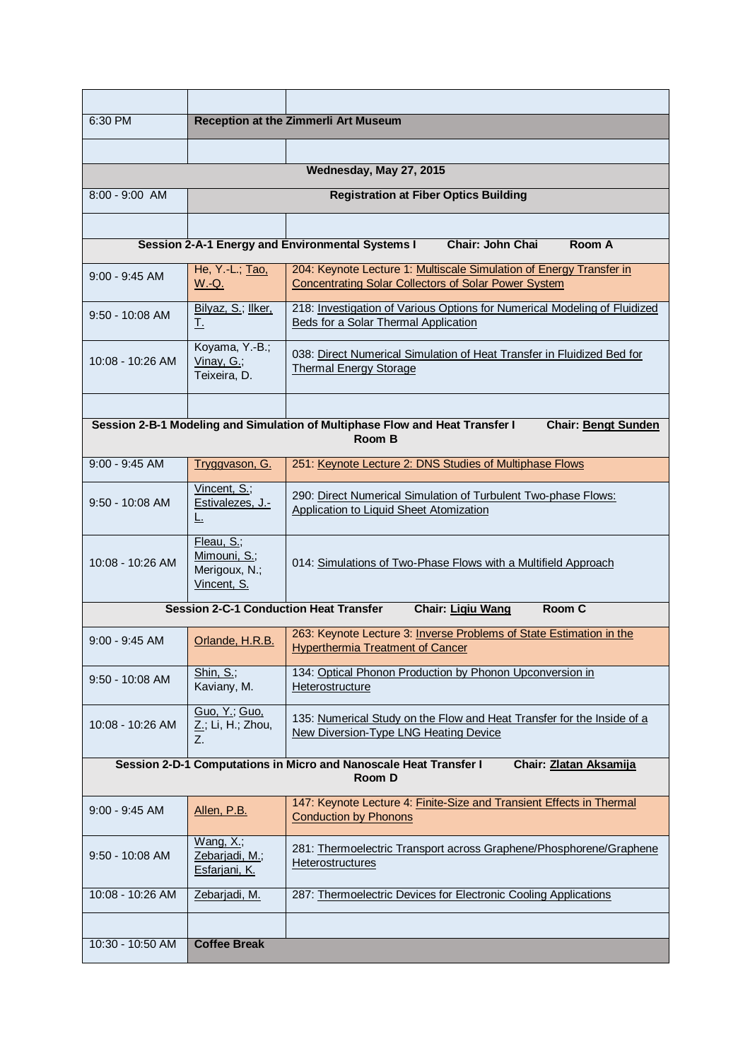| 6:30 PM                                                                                               | Reception at the Zimmerli Art Museum                       |                                                                                                                                    |  |
|-------------------------------------------------------------------------------------------------------|------------------------------------------------------------|------------------------------------------------------------------------------------------------------------------------------------|--|
|                                                                                                       |                                                            |                                                                                                                                    |  |
|                                                                                                       |                                                            | Wednesday, May 27, 2015                                                                                                            |  |
| 8:00 - 9:00 AM                                                                                        |                                                            | <b>Registration at Fiber Optics Building</b>                                                                                       |  |
|                                                                                                       |                                                            |                                                                                                                                    |  |
|                                                                                                       |                                                            | Session 2-A-1 Energy and Environmental Systems I<br><b>Chair: John Chai</b><br>Room A                                              |  |
| $9:00 - 9:45$ AM                                                                                      | He, Y.-L.; Tao,<br><u>W.-Q.</u>                            | 204: Keynote Lecture 1: Multiscale Simulation of Energy Transfer in<br><b>Concentrating Solar Collectors of Solar Power System</b> |  |
| $9:50 - 10:08$ AM                                                                                     | Bilyaz, S.; llker,<br><u>T.</u>                            | 218: Investigation of Various Options for Numerical Modeling of Fluidized<br>Beds for a Solar Thermal Application                  |  |
| $10:08 - 10:26$ AM                                                                                    | Koyama, Y.-B.;<br>Vinay, G.;<br>Teixeira, D.               | 038: Direct Numerical Simulation of Heat Transfer in Fluidized Bed for<br><b>Thermal Energy Storage</b>                            |  |
|                                                                                                       |                                                            |                                                                                                                                    |  |
|                                                                                                       |                                                            | Session 2-B-1 Modeling and Simulation of Multiphase Flow and Heat Transfer I<br><b>Chair: Bengt Sunden</b><br>Room B               |  |
| $9:00 - 9:45$ AM                                                                                      | Tryggvason, G.                                             | 251: Keynote Lecture 2: DNS Studies of Multiphase Flows                                                                            |  |
| $9:50 - 10:08$ AM                                                                                     | Vincent, S.;<br>Estivalezes, J.-<br>乚                      | 290: Direct Numerical Simulation of Turbulent Two-phase Flows:<br><b>Application to Liquid Sheet Atomization</b>                   |  |
| 10:08 - 10:26 AM                                                                                      | Fleau, S.;<br>Mimouni, S.;<br>Merigoux, N.;<br>Vincent, S. | 014: Simulations of Two-Phase Flows with a Multifield Approach                                                                     |  |
|                                                                                                       |                                                            | Room C<br><b>Session 2-C-1 Conduction Heat Transfer</b><br>Chair: Ligiu Wang                                                       |  |
| $9:00 - 9:45$ AM                                                                                      | Orlande, H.R.B.                                            | 263: Keynote Lecture 3: Inverse Problems of State Estimation in the<br><b>Hyperthermia Treatment of Cancer</b>                     |  |
| $9:50 - 10:08$ AM                                                                                     | Shin, S.;<br>Kaviany, M.                                   | 134: Optical Phonon Production by Phonon Upconversion in<br>Heterostructure                                                        |  |
| 10:08 - 10:26 AM                                                                                      | Guo, Y.; Guo,<br>Z.; Li, H.; Zhou,<br>Z.                   | 135: Numerical Study on the Flow and Heat Transfer for the Inside of a<br>New Diversion-Type LNG Heating Device                    |  |
| Session 2-D-1 Computations in Micro and Nanoscale Heat Transfer I<br>Chair: Zlatan Aksamija<br>Room D |                                                            |                                                                                                                                    |  |
| $9:00 - 9:45$ AM                                                                                      | Allen, P.B.                                                | 147: Keynote Lecture 4: Finite-Size and Transient Effects in Thermal<br><b>Conduction by Phonons</b>                               |  |
| $9:50 - 10:08$ AM                                                                                     | Wang, $X$ .;<br>Zebarjadi, M.;<br><u>Esfarjani, K.</u>     | 281: Thermoelectric Transport across Graphene/Phosphorene/Graphene<br><b>Heterostructures</b>                                      |  |
| 10:08 - 10:26 AM                                                                                      | Zebarjadi, M.                                              | 287: Thermoelectric Devices for Electronic Cooling Applications                                                                    |  |
|                                                                                                       |                                                            |                                                                                                                                    |  |
| 10:30 - 10:50 AM                                                                                      | <b>Coffee Break</b>                                        |                                                                                                                                    |  |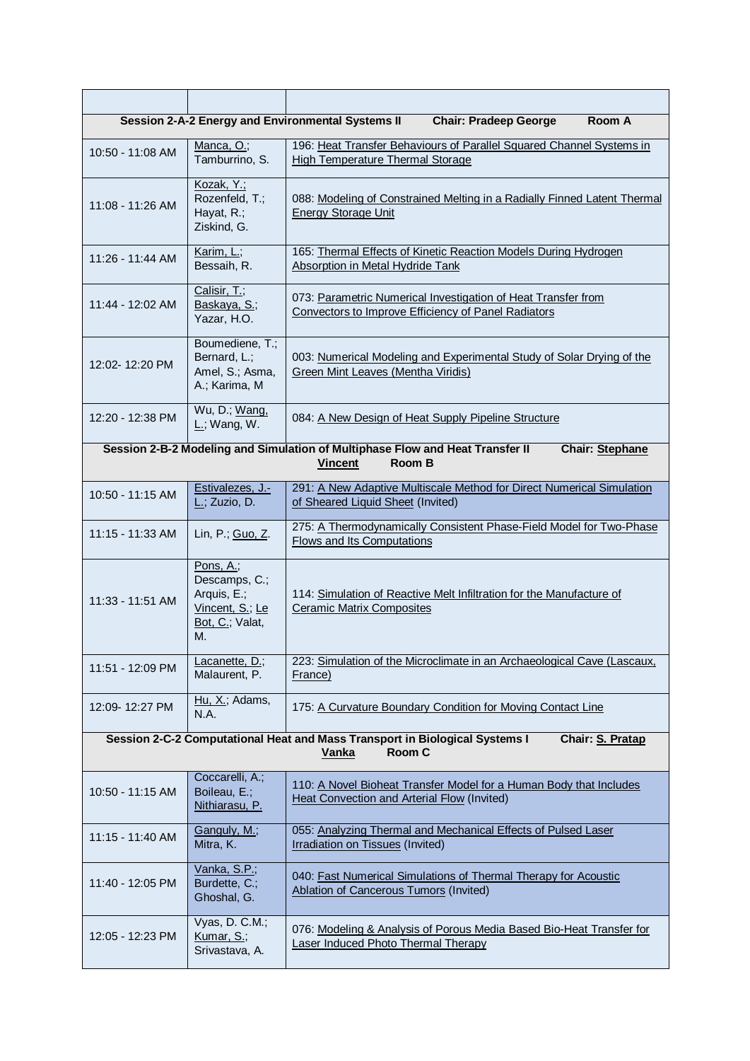| Session 2-A-2 Energy and Environmental Systems II<br>Room A<br><b>Chair: Pradeep George</b>                               |                                                                                       |                                                                                                                                     |  |  |
|---------------------------------------------------------------------------------------------------------------------------|---------------------------------------------------------------------------------------|-------------------------------------------------------------------------------------------------------------------------------------|--|--|
| 10:50 - 11:08 AM                                                                                                          | Manca, O.;<br>Tamburrino, S.                                                          | 196: Heat Transfer Behaviours of Parallel Squared Channel Systems in<br>High Temperature Thermal Storage                            |  |  |
| 11:08 - 11:26 AM                                                                                                          | Kozak, Y.;<br>Rozenfeld, T.;<br>Hayat, R.;<br>Ziskind, G.                             | 088: Modeling of Constrained Melting in a Radially Finned Latent Thermal<br><b>Energy Storage Unit</b>                              |  |  |
| 11:26 - 11:44 AM                                                                                                          | Karim, L.;<br>Bessaih, R.                                                             | 165: Thermal Effects of Kinetic Reaction Models During Hydrogen<br>Absorption in Metal Hydride Tank                                 |  |  |
| 11:44 - 12:02 AM                                                                                                          | Calisir, T.;<br>Baskaya, S.;<br>Yazar, H.O.                                           | 073: Parametric Numerical Investigation of Heat Transfer from<br>Convectors to Improve Efficiency of Panel Radiators                |  |  |
| 12:02-12:20 PM                                                                                                            | Boumediene, T.;<br>Bernard, L.;<br>Amel, S.; Asma,<br>A.; Karima, M                   | 003: Numerical Modeling and Experimental Study of Solar Drying of the<br>Green Mint Leaves (Mentha Viridis)                         |  |  |
| 12:20 - 12:38 PM                                                                                                          | Wu, D.; Wang,<br>$L$ .; Wang, W.                                                      | 084: A New Design of Heat Supply Pipeline Structure                                                                                 |  |  |
|                                                                                                                           |                                                                                       | Session 2-B-2 Modeling and Simulation of Multiphase Flow and Heat Transfer II<br>Chair: Stephane<br><b>Room B</b><br><b>Vincent</b> |  |  |
|                                                                                                                           |                                                                                       |                                                                                                                                     |  |  |
| $10:50 - 11:15$ AM                                                                                                        | Estivalezes, J.-<br>$L$ ; Zuzio, D.                                                   | 291: A New Adaptive Multiscale Method for Direct Numerical Simulation<br>of Sheared Liquid Sheet (Invited)                          |  |  |
| 11:15 - 11:33 AM                                                                                                          | Lin, P.; Guo, Z.                                                                      | 275: A Thermodynamically Consistent Phase-Field Model for Two-Phase<br><b>Flows and Its Computations</b>                            |  |  |
| $11:33 - 11:51$ AM                                                                                                        | Pons, A.;<br>Descamps, C.;<br>Arquis, E.;<br>Vincent, S.; Le<br>Bot, C.; Valat,<br>М. | 114: Simulation of Reactive Melt Infiltration for the Manufacture of<br><b>Ceramic Matrix Composites</b>                            |  |  |
| 11:51 - 12:09 PM                                                                                                          | Lacanette, D.;<br>Malaurent, P.                                                       | 223: Simulation of the Microclimate in an Archaeological Cave (Lascaux,<br>France)                                                  |  |  |
| 12:09-12:27 PM                                                                                                            | Hu, X.; Adams,<br>N.A.                                                                | 175: A Curvature Boundary Condition for Moving Contact Line                                                                         |  |  |
| Session 2-C-2 Computational Heat and Mass Transport in Biological Systems I<br>Chair: S. Pratap<br>Room C<br><b>Vanka</b> |                                                                                       |                                                                                                                                     |  |  |
| 10:50 - 11:15 AM                                                                                                          | Coccarelli, A.;<br>Boileau, E.;<br>Nithiarasu, P.                                     | 110: A Novel Bioheat Transfer Model for a Human Body that Includes<br><b>Heat Convection and Arterial Flow (Invited)</b>            |  |  |
| 11:15 - 11:40 AM                                                                                                          | Ganguly, M.;<br>Mitra, K.                                                             | 055: Analyzing Thermal and Mechanical Effects of Pulsed Laser<br><b>Irradiation on Tissues (Invited)</b>                            |  |  |
| 11:40 - 12:05 PM                                                                                                          | Vanka, S.P.;<br>Burdette, C.;<br>Ghoshal, G.                                          | 040: Fast Numerical Simulations of Thermal Therapy for Acoustic<br><b>Ablation of Cancerous Tumors (Invited)</b>                    |  |  |
| 12:05 - 12:23 PM                                                                                                          | Vyas, D. C.M.;<br>Kumar, S.;<br>Srivastava, A.                                        | 076: Modeling & Analysis of Porous Media Based Bio-Heat Transfer for<br><b>Laser Induced Photo Thermal Therapy</b>                  |  |  |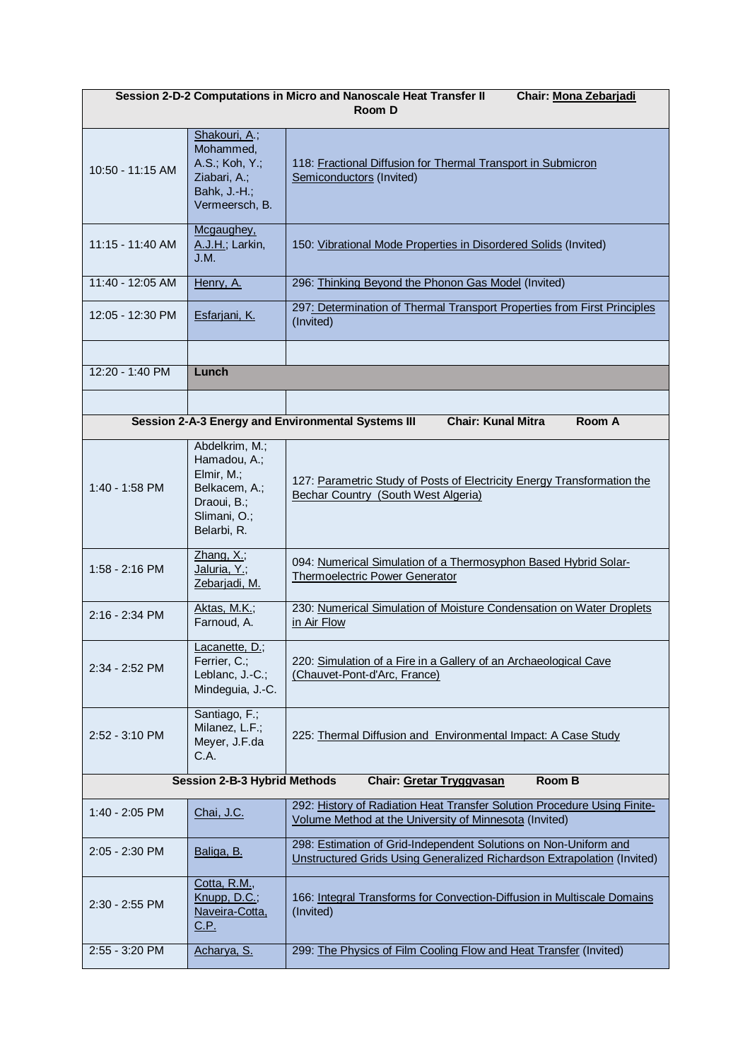| Session 2-D-2 Computations in Micro and Nanoscale Heat Transfer II<br><b>Chair: Mona Zebarjadi</b><br>Room D |                                                                                                             |                                                                                                                                             |  |  |
|--------------------------------------------------------------------------------------------------------------|-------------------------------------------------------------------------------------------------------------|---------------------------------------------------------------------------------------------------------------------------------------------|--|--|
| 10:50 - 11:15 AM                                                                                             | Shakouri, A.;<br>Mohammed,<br>A.S.; Koh, Y.;<br>Ziabari, A.;<br>Bahk, J.-H.;<br>Vermeersch, B.              | 118: Fractional Diffusion for Thermal Transport in Submicron<br>Semiconductors (Invited)                                                    |  |  |
| 11:15 - 11:40 AM                                                                                             | Mcgaughey,<br>A.J.H.; Larkin,<br>J.M.                                                                       | 150: Vibrational Mode Properties in Disordered Solids (Invited)                                                                             |  |  |
| 11:40 - 12:05 AM                                                                                             | Henry, A.                                                                                                   | 296: Thinking Beyond the Phonon Gas Model (Invited)                                                                                         |  |  |
| 12:05 - 12:30 PM                                                                                             | Esfarjani, K.                                                                                               | 297: Determination of Thermal Transport Properties from First Principles<br>(Invited)                                                       |  |  |
|                                                                                                              |                                                                                                             |                                                                                                                                             |  |  |
| 12:20 - 1:40 PM                                                                                              | Lunch                                                                                                       |                                                                                                                                             |  |  |
|                                                                                                              |                                                                                                             |                                                                                                                                             |  |  |
|                                                                                                              |                                                                                                             | Session 2-A-3 Energy and Environmental Systems III<br><b>Chair: Kunal Mitra</b><br>Room A                                                   |  |  |
| $1:40 - 1:58$ PM                                                                                             | Abdelkrim, M.;<br>Hamadou, A.;<br>Elmir, M.;<br>Belkacem, A.;<br>Draoui, B.;<br>Slimani, O.;<br>Belarbi, R. | 127: Parametric Study of Posts of Electricity Energy Transformation the<br>Bechar Country (South West Algeria)                              |  |  |
| 1:58 - 2:16 PM                                                                                               | $Zhang, X.$ ;<br>Jaluria, Y.;<br>Zebarjadi, M.                                                              | 094: Numerical Simulation of a Thermosyphon Based Hybrid Solar-<br><b>Thermoelectric Power Generator</b>                                    |  |  |
| 2:16 - 2:34 PM                                                                                               | Aktas, M.K.;<br>Farnoud, A.                                                                                 | 230: Numerical Simulation of Moisture Condensation on Water Droplets<br>in Air Flow                                                         |  |  |
| $2:34 - 2:52$ PM                                                                                             | Lacanette, D.;<br>Ferrier, C.;<br>Leblanc, J.-C.;<br>Mindeguia, J.-C.                                       | 220: Simulation of a Fire in a Gallery of an Archaeological Cave<br>(Chauvet-Pont-d'Arc, France)                                            |  |  |
| 2:52 - 3:10 PM                                                                                               | Santiago, F.;<br>Milanez, L.F.;<br>Meyer, J.F.da<br>C.A.                                                    | 225: Thermal Diffusion and Environmental Impact: A Case Study                                                                               |  |  |
| <b>Session 2-B-3 Hybrid Methods</b><br>Room B<br>Chair: Gretar Tryggvasan                                    |                                                                                                             |                                                                                                                                             |  |  |
| 1:40 - 2:05 PM                                                                                               | Chai, J.C.                                                                                                  | 292: History of Radiation Heat Transfer Solution Procedure Using Finite-<br>Volume Method at the University of Minnesota (Invited)          |  |  |
| 2:05 - 2:30 PM                                                                                               | Baliga, B.                                                                                                  | 298: Estimation of Grid-Independent Solutions on Non-Uniform and<br>Unstructured Grids Using Generalized Richardson Extrapolation (Invited) |  |  |
| 2:30 - 2:55 PM                                                                                               | Cotta, R.M.,<br>Knupp, D.C.;<br>Naveira-Cotta,<br><u>C.P.</u>                                               | 166: Integral Transforms for Convection-Diffusion in Multiscale Domains<br>(Invited)                                                        |  |  |
| 2:55 - 3:20 PM                                                                                               | Acharya, S.                                                                                                 | 299: The Physics of Film Cooling Flow and Heat Transfer (Invited)                                                                           |  |  |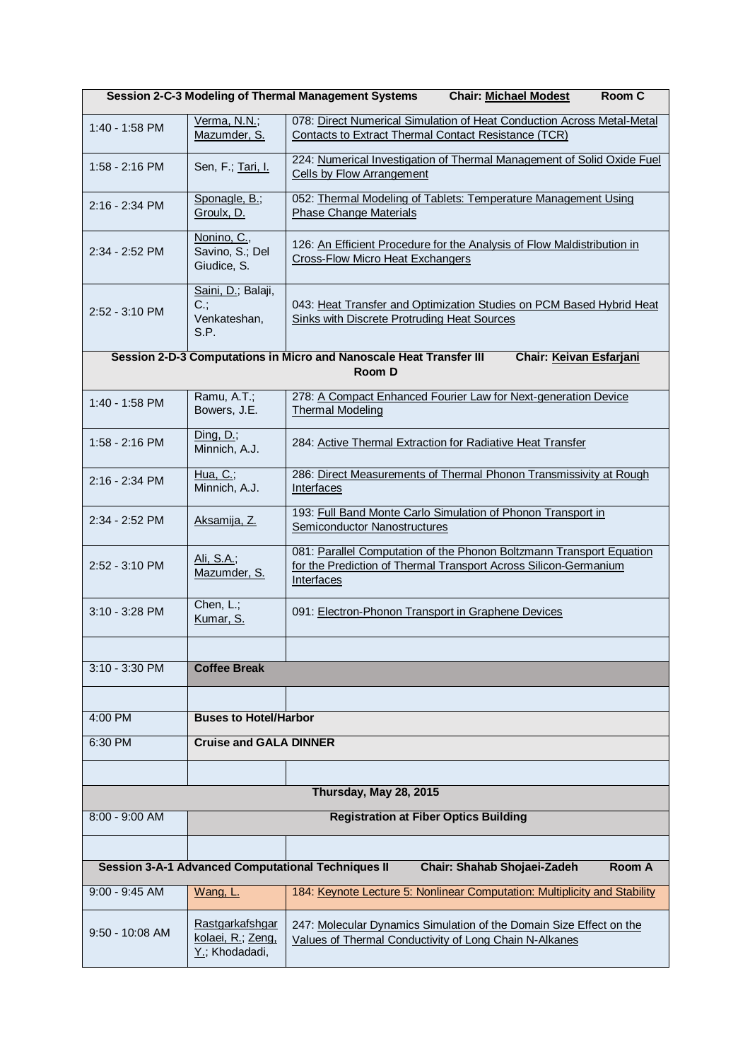|                          | <b>Session 2-C-3 Modeling of Thermal Management Systems</b><br>Room C<br><b>Chair: Michael Modest</b> |                                                                                                                                                               |  |  |
|--------------------------|-------------------------------------------------------------------------------------------------------|---------------------------------------------------------------------------------------------------------------------------------------------------------------|--|--|
| 1:40 - 1:58 PM           | Verma, N.N.;<br>Mazumder, S.                                                                          | 078: Direct Numerical Simulation of Heat Conduction Across Metal-Metal<br><b>Contacts to Extract Thermal Contact Resistance (TCR)</b>                         |  |  |
| $1:58 - 2:16$ PM         | Sen, F.; Tari, I.                                                                                     | 224: Numerical Investigation of Thermal Management of Solid Oxide Fuel<br><b>Cells by Flow Arrangement</b>                                                    |  |  |
| $2:16 - 2:34$ PM         | Sponagle, B.;<br>Groulx, D.                                                                           | 052: Thermal Modeling of Tablets: Temperature Management Using<br><b>Phase Change Materials</b>                                                               |  |  |
| 2:34 - 2:52 PM           | Nonino, C.,<br>Savino, S.; Del<br>Giudice, S.                                                         | 126: An Efficient Procedure for the Analysis of Flow Maldistribution in<br><b>Cross-Flow Micro Heat Exchangers</b>                                            |  |  |
| $2:52 - 3:10 \text{ PM}$ | Saini, D.; Balaji,<br>$C$ .;<br>Venkateshan,<br>S.P.                                                  | 043: Heat Transfer and Optimization Studies on PCM Based Hybrid Heat<br>Sinks with Discrete Protruding Heat Sources                                           |  |  |
|                          |                                                                                                       | Session 2-D-3 Computations in Micro and Nanoscale Heat Transfer III<br>Chair: Keivan Esfarjani<br>Room D                                                      |  |  |
| 1:40 - 1:58 PM           | Ramu, A.T.;<br>Bowers, J.E.                                                                           | 278: A Compact Enhanced Fourier Law for Next-generation Device<br><b>Thermal Modeling</b>                                                                     |  |  |
| 1:58 - 2:16 PM           | Ding, $D$ .;<br>Minnich, A.J.                                                                         | 284: Active Thermal Extraction for Radiative Heat Transfer                                                                                                    |  |  |
| 2:16 - 2:34 PM           | Hua, $C$ .;<br>Minnich, A.J.                                                                          | 286: Direct Measurements of Thermal Phonon Transmissivity at Rough<br>Interfaces                                                                              |  |  |
| 2:34 - 2:52 PM           | Aksamija, Z.                                                                                          | 193: Full Band Monte Carlo Simulation of Phonon Transport in<br>Semiconductor Nanostructures                                                                  |  |  |
| $2:52 - 3:10 \text{ PM}$ | Ali, S.A.;<br>Mazumder, S.                                                                            | 081: Parallel Computation of the Phonon Boltzmann Transport Equation<br>for the Prediction of Thermal Transport Across Silicon-Germanium<br><b>Interfaces</b> |  |  |
| $3:10 - 3:28$ PM         | Chen, $L$ .;<br>Kumar, S.                                                                             | 091: Electron-Phonon Transport in Graphene Devices                                                                                                            |  |  |
|                          |                                                                                                       |                                                                                                                                                               |  |  |
| $3:10 - 3:30$ PM         | <b>Coffee Break</b>                                                                                   |                                                                                                                                                               |  |  |
|                          | <b>Buses to Hotel/Harbor</b>                                                                          |                                                                                                                                                               |  |  |
| 4:00 PM<br>6:30 PM       | <b>Cruise and GALA DINNER</b>                                                                         |                                                                                                                                                               |  |  |
|                          |                                                                                                       |                                                                                                                                                               |  |  |
|                          |                                                                                                       | Thursday, May 28, 2015                                                                                                                                        |  |  |
| 8:00 - 9:00 AM           |                                                                                                       | <b>Registration at Fiber Optics Building</b>                                                                                                                  |  |  |
|                          |                                                                                                       |                                                                                                                                                               |  |  |
|                          |                                                                                                       | <b>Session 3-A-1 Advanced Computational Techniques II</b><br>Chair: Shahab Shojaei-Zadeh<br>Room A                                                            |  |  |
| $9:00 - 9:45$ AM         | Wang, L.                                                                                              | 184: Keynote Lecture 5: Nonlinear Computation: Multiplicity and Stability                                                                                     |  |  |
| $9:50 - 10:08$ AM        | <b>Rastgarkafshgar</b><br>kolaei, R.; Zeng,<br>Y.; Khodadadi,                                         | 247: Molecular Dynamics Simulation of the Domain Size Effect on the<br>Values of Thermal Conductivity of Long Chain N-Alkanes                                 |  |  |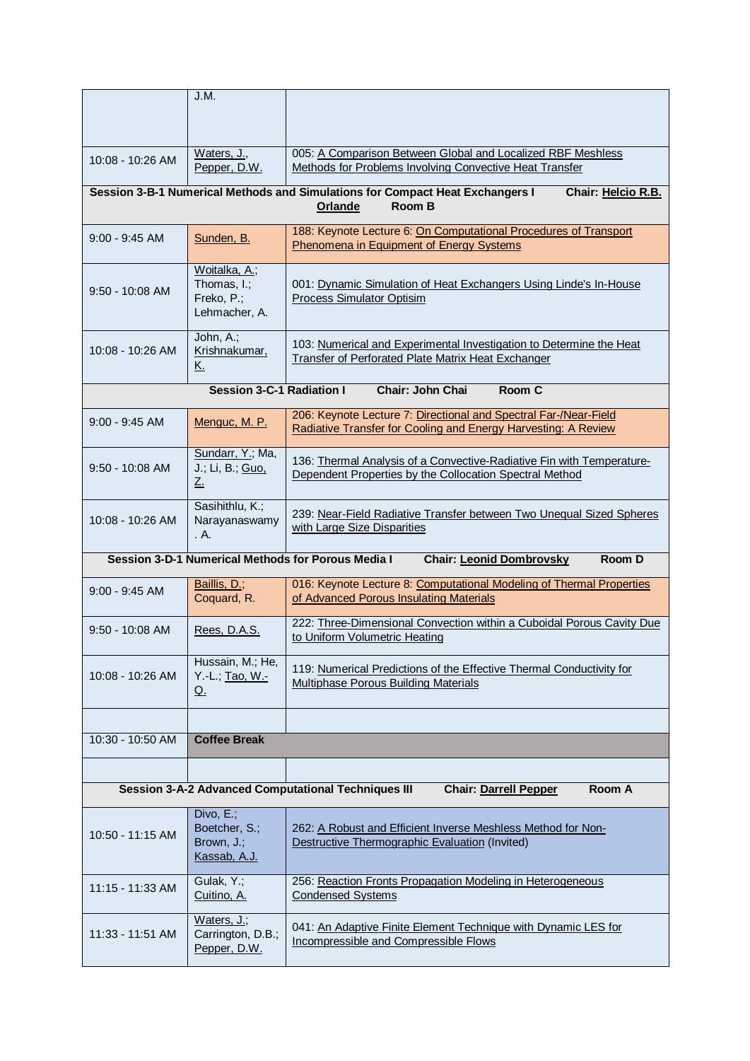|                    | J.M.                                                                                            |                                                                                                                                    |  |
|--------------------|-------------------------------------------------------------------------------------------------|------------------------------------------------------------------------------------------------------------------------------------|--|
|                    |                                                                                                 |                                                                                                                                    |  |
| $10:08 - 10:26$ AM | Waters, J.,<br>Pepper, D.W.                                                                     | 005: A Comparison Between Global and Localized RBF Meshless<br>Methods for Problems Involving Convective Heat Transfer             |  |
|                    |                                                                                                 | Session 3-B-1 Numerical Methods and Simulations for Compact Heat Exchangers I<br>Chair: Helcio R.B.<br>Room B<br>Orlande           |  |
| $9:00 - 9:45$ AM   | Sunden, B.                                                                                      | 188: Keynote Lecture 6: On Computational Procedures of Transport<br>Phenomena in Equipment of Energy Systems                       |  |
| $9:50 - 10:08$ AM  | Woitalka, A.;<br>Thomas, I.;<br>Freko, P.;<br>Lehmacher, A.                                     | 001: Dynamic Simulation of Heat Exchangers Using Linde's In-House<br>Process Simulator Optisim                                     |  |
| $10:08 - 10:26$ AM | John, A.;<br>Krishnakumar,<br><u>K.</u>                                                         | 103: Numerical and Experimental Investigation to Determine the Heat<br>Transfer of Perforated Plate Matrix Heat Exchanger          |  |
|                    | <b>Session 3-C-1 Radiation I</b>                                                                | Chair: John Chai<br>Room C                                                                                                         |  |
| $9:00 - 9:45$ AM   | Menguc, M. P.                                                                                   | 206: Keynote Lecture 7: Directional and Spectral Far-/Near-Field<br>Radiative Transfer for Cooling and Energy Harvesting: A Review |  |
| $9:50 - 10:08$ AM  | Sundarr, Y.; Ma,<br>J.; Li, B.; Guo,<br><u>Ζ.</u>                                               | 136: Thermal Analysis of a Convective-Radiative Fin with Temperature-<br>Dependent Properties by the Collocation Spectral Method   |  |
| 10:08 - 10:26 AM   | Sasihithlu, K.;<br>Narayanaswamy<br>. A.                                                        | 239: Near-Field Radiative Transfer between Two Unequal Sized Spheres<br>with Large Size Disparities                                |  |
|                    | Session 3-D-1 Numerical Methods for Porous Media I<br>Room D<br><b>Chair: Leonid Dombrovsky</b> |                                                                                                                                    |  |
| $9:00 - 9:45$ AM   | Baillis, D.;<br>Coquard, R.                                                                     | 016: Keynote Lecture 8: Computational Modeling of Thermal Properties<br>of Advanced Porous Insulating Materials                    |  |
| $9:50 - 10:08$ AM  | Rees, D.A.S.                                                                                    | 222: Three-Dimensional Convection within a Cuboidal Porous Cavity Due<br>to Uniform Volumetric Heating                             |  |
| 10:08 - 10:26 AM   | Hussain, M.; He,<br>Y.-L.; Tao, W.-<br><u>Q.</u>                                                | 119: Numerical Predictions of the Effective Thermal Conductivity for<br>Multiphase Porous Building Materials                       |  |
|                    |                                                                                                 |                                                                                                                                    |  |
| 10:30 - 10:50 AM   | <b>Coffee Break</b>                                                                             |                                                                                                                                    |  |
|                    |                                                                                                 | <b>Session 3-A-2 Advanced Computational Techniques III</b><br>Room A<br><b>Chair: Darrell Pepper</b>                               |  |
|                    | Divo, E.;                                                                                       |                                                                                                                                    |  |
| 10:50 - 11:15 AM   | Boetcher, S.;<br>Brown, J.;<br>Kassab, A.J.                                                     | 262: A Robust and Efficient Inverse Meshless Method for Non-<br>Destructive Thermographic Evaluation (Invited)                     |  |
| 11:15 - 11:33 AM   | Gulak, Y.;<br>Cuitino, A.                                                                       | 256: Reaction Fronts Propagation Modeling in Heterogeneous<br><b>Condensed Systems</b>                                             |  |
| 11:33 - 11:51 AM   | Waters, J.;<br>Carrington, D.B.;<br>Pepper, D.W.                                                | 041: An Adaptive Finite Element Technique with Dynamic LES for<br>Incompressible and Compressible Flows                            |  |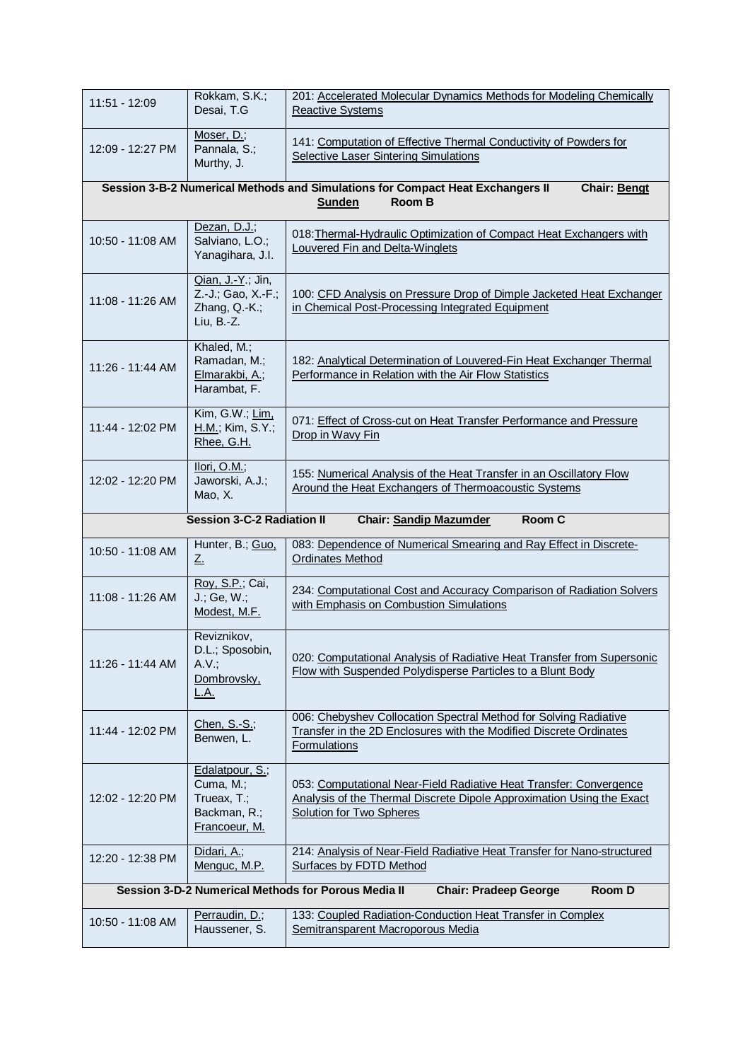| 11:51 - 12:09                                                                                        | Rokkam, S.K.;<br>Desai, T.G                                                  | 201: Accelerated Molecular Dynamics Methods for Modeling Chemically<br><b>Reactive Systems</b>                                                                                 |  |
|------------------------------------------------------------------------------------------------------|------------------------------------------------------------------------------|--------------------------------------------------------------------------------------------------------------------------------------------------------------------------------|--|
| 12:09 - 12:27 PM                                                                                     | Moser, D.;<br>Pannala, S.;<br>Murthy, J.                                     | 141: Computation of Effective Thermal Conductivity of Powders for<br>Selective Laser Sintering Simulations                                                                     |  |
|                                                                                                      |                                                                              | Session 3-B-2 Numerical Methods and Simulations for Compact Heat Exchangers II<br>Chair: Bengt<br>Room B<br><b>Sunden</b>                                                      |  |
| 10:50 - 11:08 AM                                                                                     | Dezan, D.J.;<br>Salviano, L.O.;<br>Yanagihara, J.I.                          | 018: Thermal-Hydraulic Optimization of Compact Heat Exchangers with<br>Louvered Fin and Delta-Winglets                                                                         |  |
| 11:08 - 11:26 AM                                                                                     | Qian, J.-Y.; Jin,<br>Z.-J.; Gao, X.-F.;<br>Zhang, Q.-K.;<br>Liu, B.-Z.       | 100: CFD Analysis on Pressure Drop of Dimple Jacketed Heat Exchanger<br>in Chemical Post-Processing Integrated Equipment                                                       |  |
| 11:26 - 11:44 AM                                                                                     | Khaled, M.;<br>Ramadan, M.;<br>Elmarakbi, A.;<br>Harambat, F.                | 182: Analytical Determination of Louvered-Fin Heat Exchanger Thermal<br>Performance in Relation with the Air Flow Statistics                                                   |  |
| 11:44 - 12:02 PM                                                                                     | Kim, G.W.; Lim,<br>H.M.; Kim, S.Y.;<br>Rhee, G.H.                            | 071: Effect of Cross-cut on Heat Transfer Performance and Pressure<br>Drop in Wavy Fin                                                                                         |  |
| 12:02 - 12:20 PM                                                                                     | Ilori, O.M.;<br>Jaworski, A.J.;<br>Mao, X.                                   | 155: Numerical Analysis of the Heat Transfer in an Oscillatory Flow<br>Around the Heat Exchangers of Thermoacoustic Systems                                                    |  |
|                                                                                                      | <b>Session 3-C-2 Radiation II</b>                                            | Room C<br><b>Chair: Sandip Mazumder</b>                                                                                                                                        |  |
| 10:50 - 11:08 AM                                                                                     | Hunter, B.; Guo,<br>$Z_{\cdot}$                                              | 083: Dependence of Numerical Smearing and Ray Effect in Discrete-<br><b>Ordinates Method</b>                                                                                   |  |
| 11:08 - 11:26 AM                                                                                     | Roy, S.P.; Cai,<br>J.; Ge, W.;<br>Modest, M.F.                               | 234: Computational Cost and Accuracy Comparison of Radiation Solvers<br>with Emphasis on Combustion Simulations                                                                |  |
| 11:26 - 11:44 AM                                                                                     | Reviznikov,<br>D.L.; Sposobin,<br>A.V.;<br>Dombrovsky,<br><u>L.A.</u>        | 020: Computational Analysis of Radiative Heat Transfer from Supersonic<br>Flow with Suspended Polydisperse Particles to a Blunt Body                                           |  |
| 11:44 - 12:02 PM                                                                                     | Chen, S.-S.;<br>Benwen, L.                                                   | 006: Chebyshev Collocation Spectral Method for Solving Radiative<br>Transfer in the 2D Enclosures with the Modified Discrete Ordinates<br><b>Formulations</b>                  |  |
| 12:02 - 12:20 PM                                                                                     | Edalatpour, S.;<br>Cuma, M.;<br>Trueax, T.;<br>Backman, R.;<br>Francoeur, M. | 053: Computational Near-Field Radiative Heat Transfer: Convergence<br>Analysis of the Thermal Discrete Dipole Approximation Using the Exact<br><b>Solution for Two Spheres</b> |  |
| 12:20 - 12:38 PM                                                                                     | Didari, A.;<br>Menguc, M.P.                                                  | 214: Analysis of Near-Field Radiative Heat Transfer for Nano-structured<br><b>Surfaces by FDTD Method</b>                                                                      |  |
| Session 3-D-2 Numerical Methods for Porous Media II<br><b>Room D</b><br><b>Chair: Pradeep George</b> |                                                                              |                                                                                                                                                                                |  |
| 10:50 - 11:08 AM                                                                                     | Perraudin, D.;<br>Haussener, S.                                              | 133: Coupled Radiation-Conduction Heat Transfer in Complex<br>Semitransparent Macroporous Media                                                                                |  |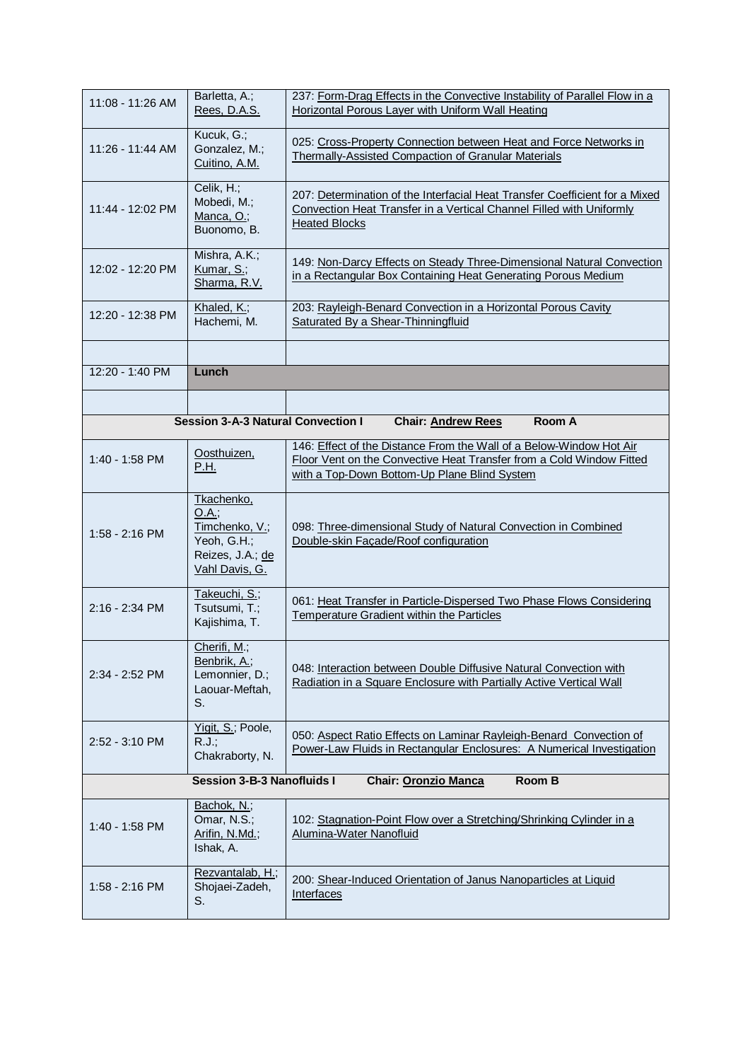| $11:08 - 11:26$ AM | Barletta, A.;<br>Rees, D.A.S.                                                                     | 237: Form-Drag Effects in the Convective Instability of Parallel Flow in a<br>Horizontal Porous Layer with Uniform Wall Heating                                                             |
|--------------------|---------------------------------------------------------------------------------------------------|---------------------------------------------------------------------------------------------------------------------------------------------------------------------------------------------|
| 11:26 - 11:44 AM   | Kucuk, G.;<br>Gonzalez, M.;<br>Cuitino, A.M.                                                      | 025: Cross-Property Connection between Heat and Force Networks in<br>Thermally-Assisted Compaction of Granular Materials                                                                    |
| 11:44 - 12:02 PM   | Celik, H.;<br>Mobedi, M.;<br>Manca, O.;<br>Buonomo, B.                                            | 207: Determination of the Interfacial Heat Transfer Coefficient for a Mixed<br>Convection Heat Transfer in a Vertical Channel Filled with Uniformly<br><b>Heated Blocks</b>                 |
| 12:02 - 12:20 PM   | Mishra, A.K.;<br>Kumar, S.;<br>Sharma, R.V.                                                       | 149: Non-Darcy Effects on Steady Three-Dimensional Natural Convection<br>in a Rectangular Box Containing Heat Generating Porous Medium                                                      |
| 12:20 - 12:38 PM   | Khaled, K.;<br>Hachemi, M.                                                                        | 203: Rayleigh-Benard Convection in a Horizontal Porous Cavity<br>Saturated By a Shear-Thinningfluid                                                                                         |
|                    |                                                                                                   |                                                                                                                                                                                             |
| 12:20 - 1:40 PM    | Lunch                                                                                             |                                                                                                                                                                                             |
|                    |                                                                                                   |                                                                                                                                                                                             |
|                    | <b>Session 3-A-3 Natural Convection I</b>                                                         | Room A<br><b>Chair: Andrew Rees</b>                                                                                                                                                         |
| 1:40 - 1:58 PM     | Oosthuizen,<br>P.H.                                                                               | 146: Effect of the Distance From the Wall of a Below-Window Hot Air<br>Floor Vent on the Convective Heat Transfer from a Cold Window Fitted<br>with a Top-Down Bottom-Up Plane Blind System |
| $1:58 - 2:16$ PM   | Tkachenko,<br>O.A.;<br>Timchenko, V.;<br>Yeoh, G.H.;<br>Reizes, J.A.; de<br><u>Vahl Davis, G.</u> | 098: Three-dimensional Study of Natural Convection in Combined<br>Double-skin Facade/Roof configuration                                                                                     |
| 2:16 - 2:34 PM     | Takeuchi, S.;<br>Tsutsumi, T.;<br>Kajishima, T.                                                   | 061: Heat Transfer in Particle-Dispersed Two Phase Flows Considering<br><b>Temperature Gradient within the Particles</b>                                                                    |
| 2:34 - 2:52 PM     | Cherifi, M.;<br>Benbrik, A.;<br>Lemonnier, D.;<br>Laouar-Meftah,<br>S.                            | 048: Interaction between Double Diffusive Natural Convection with<br>Radiation in a Square Enclosure with Partially Active Vertical Wall                                                    |
| 2:52 - 3:10 PM     | Yigit, S.; Poole,<br>R.J.;<br>Chakraborty, N.                                                     | 050: Aspect Ratio Effects on Laminar Rayleigh-Benard Convection of<br>Power-Law Fluids in Rectangular Enclosures: A Numerical Investigation                                                 |
|                    | <b>Session 3-B-3 Nanofluids I</b>                                                                 | Room B<br><b>Chair: Oronzio Manca</b>                                                                                                                                                       |
| 1:40 - 1:58 PM     | Bachok, N.;<br>Omar, N.S.;<br>Arifin, N.Md.;<br>Ishak, A.                                         | 102: Stagnation-Point Flow over a Stretching/Shrinking Cylinder in a<br>Alumina-Water Nanofluid                                                                                             |
| 1:58 - 2:16 PM     | Rezvantalab, H.;<br>Shojaei-Zadeh,<br>S.                                                          | 200: Shear-Induced Orientation of Janus Nanoparticles at Liquid<br>Interfaces                                                                                                               |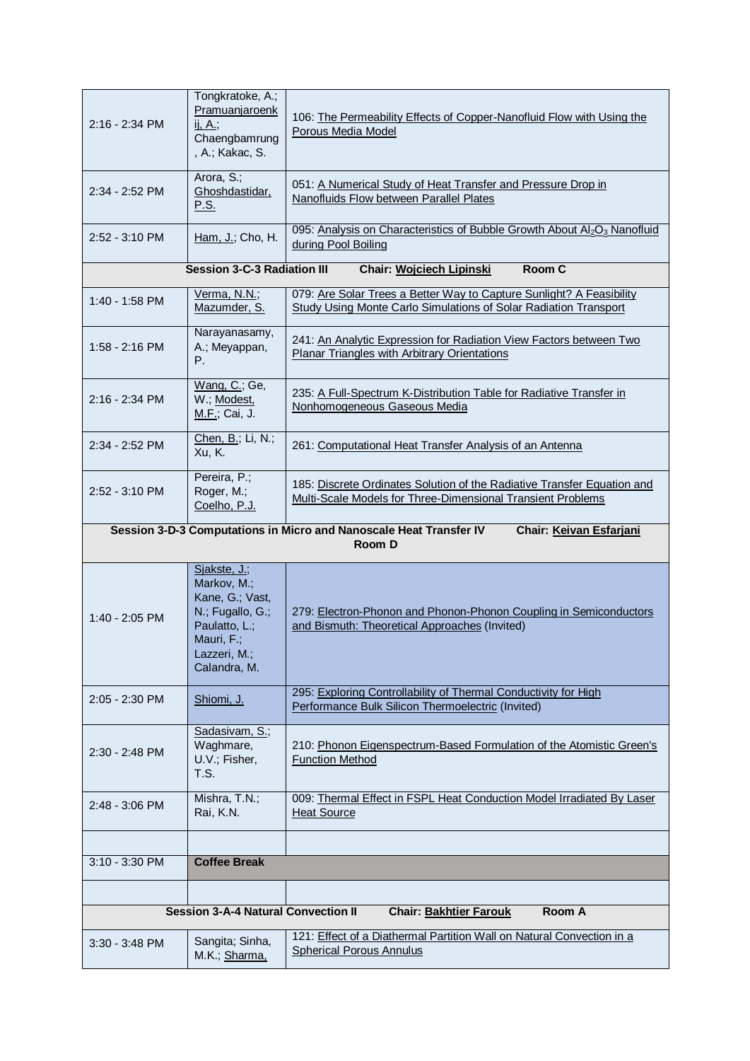| 2:16 - 2:34 PM                                                                                          | Tongkratoke, A.;<br>Pramuanjaroenk<br>ij, A.;<br>Chaengbamrung<br>, A.; Kakac, S.                                                 | 106: The Permeability Effects of Copper-Nanofluid Flow with Using the<br>Porous Media Model                                              |  |
|---------------------------------------------------------------------------------------------------------|-----------------------------------------------------------------------------------------------------------------------------------|------------------------------------------------------------------------------------------------------------------------------------------|--|
| 2:34 - 2:52 PM                                                                                          | Arora, S.;<br>Ghoshdastidar,<br><u>P.S.</u>                                                                                       | 051: A Numerical Study of Heat Transfer and Pressure Drop in<br>Nanofluids Flow between Parallel Plates                                  |  |
| 2:52 - 3:10 PM                                                                                          | Ham, J.; Cho, H.                                                                                                                  | 095: Analysis on Characteristics of Bubble Growth About Al2O3 Nanofluid<br>during Pool Boiling                                           |  |
| <b>Session 3-C-3 Radiation III</b><br>Room C<br>Chair: Wojciech Lipinski                                |                                                                                                                                   |                                                                                                                                          |  |
| 1:40 - 1:58 PM                                                                                          | Verma, N.N.;<br>Mazumder, S.                                                                                                      | 079: Are Solar Trees a Better Way to Capture Sunlight? A Feasibility<br>Study Using Monte Carlo Simulations of Solar Radiation Transport |  |
| 1:58 - 2:16 PM                                                                                          | Narayanasamy,<br>A.; Meyappan,<br>Р.                                                                                              | 241: An Analytic Expression for Radiation View Factors between Two<br>Planar Triangles with Arbitrary Orientations                       |  |
| 2:16 - 2:34 PM                                                                                          | Wang, C.; Ge,<br>W.; Modest,<br><u>M.F.;</u> Cai, J.                                                                              | 235: A Full-Spectrum K-Distribution Table for Radiative Transfer in<br>Nonhomogeneous Gaseous Media                                      |  |
| 2:34 - 2:52 PM                                                                                          | Chen, B.; Li, N.;<br>Xu, K.                                                                                                       | 261: Computational Heat Transfer Analysis of an Antenna                                                                                  |  |
| 2:52 - 3:10 PM                                                                                          | Pereira, P.;<br>Roger, M.;<br>Coelho, P.J.                                                                                        | 185: Discrete Ordinates Solution of the Radiative Transfer Equation and<br>Multi-Scale Models for Three-Dimensional Transient Problems   |  |
| Session 3-D-3 Computations in Micro and Nanoscale Heat Transfer IV<br>Chair: Keivan Esfarjani<br>Room D |                                                                                                                                   |                                                                                                                                          |  |
| 1:40 - 2:05 PM                                                                                          | Sjakste, J.;<br>Markov, M.;<br>Kane, G.; Vast,<br>N.; Fugallo, G.;<br>Paulatto, L.;<br>Mauri, F.;<br>Lazzeri, M.;<br>Calandra, M. | 279: Electron-Phonon and Phonon-Phonon Coupling in Semiconductors<br>and Bismuth: Theoretical Approaches (Invited)                       |  |
| 2:05 - 2:30 PM                                                                                          | Shiomi, J.                                                                                                                        | 295: Exploring Controllability of Thermal Conductivity for High<br>Performance Bulk Silicon Thermoelectric (Invited)                     |  |
| 2:30 - 2:48 PM                                                                                          | Sadasivam, S.;<br>Waghmare,<br>U.V.; Fisher,<br>T.S.                                                                              | 210: Phonon Eigenspectrum-Based Formulation of the Atomistic Green's<br><b>Function Method</b>                                           |  |
| 2:48 - 3:06 PM                                                                                          | Mishra, T.N.;<br>Rai, K.N.                                                                                                        | 009: Thermal Effect in FSPL Heat Conduction Model Irradiated By Laser<br><b>Heat Source</b>                                              |  |
|                                                                                                         |                                                                                                                                   |                                                                                                                                          |  |
| 3:10 - 3:30 PM                                                                                          | <b>Coffee Break</b>                                                                                                               |                                                                                                                                          |  |
|                                                                                                         |                                                                                                                                   |                                                                                                                                          |  |
|                                                                                                         | <b>Session 3-A-4 Natural Convection II</b>                                                                                        | <b>Chair: Bakhtier Farouk</b><br>Room A                                                                                                  |  |
| $3:30 - 3:48$ PM                                                                                        | Sangita; Sinha,<br>M.K.; Sharma,                                                                                                  | 121: Effect of a Diathermal Partition Wall on Natural Convection in a<br><b>Spherical Porous Annulus</b>                                 |  |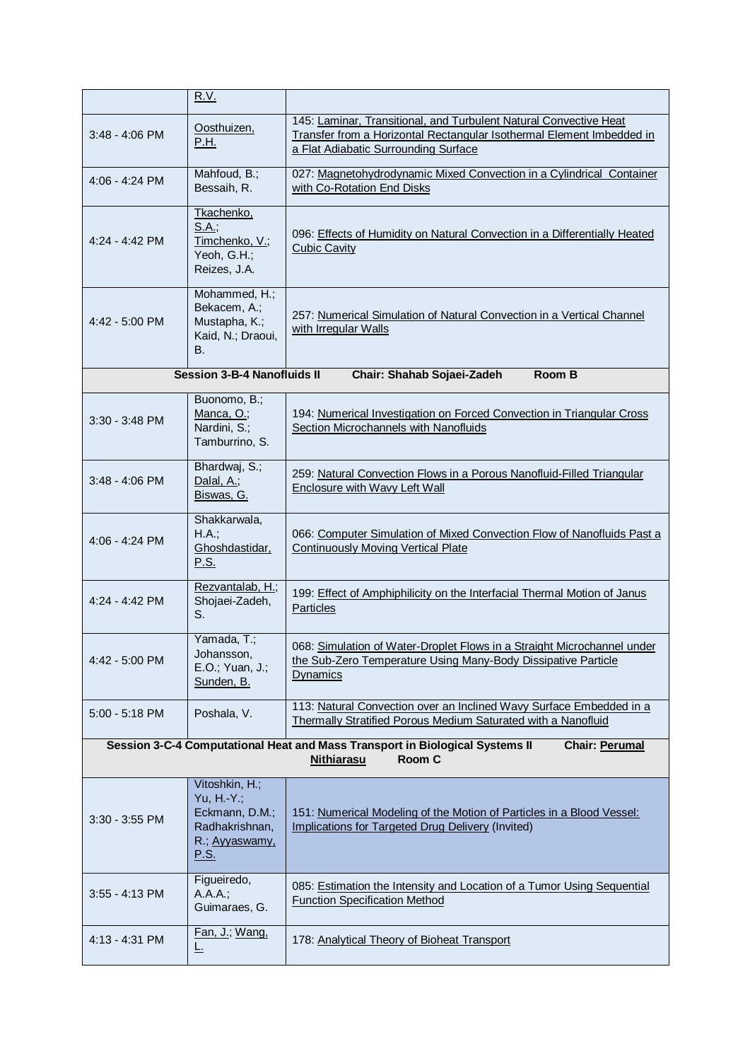|                                                                                                                                      | <u>R.V.</u>                                                                                       |                                                                                                                                                                                    |
|--------------------------------------------------------------------------------------------------------------------------------------|---------------------------------------------------------------------------------------------------|------------------------------------------------------------------------------------------------------------------------------------------------------------------------------------|
| $3:48 - 4:06$ PM                                                                                                                     | Oosthuizen,<br>P.H.                                                                               | 145: Laminar, Transitional, and Turbulent Natural Convective Heat<br>Transfer from a Horizontal Rectangular Isothermal Element Imbedded in<br>a Flat Adiabatic Surrounding Surface |
| 4:06 - 4:24 PM                                                                                                                       | Mahfoud, B.;<br>Bessaih, R.                                                                       | 027: Magnetohydrodynamic Mixed Convection in a Cylindrical Container<br>with Co-Rotation End Disks                                                                                 |
| $4:24 - 4:42$ PM                                                                                                                     | Tkachenko,<br>S.A.:<br>Timchenko, V.;<br>Yeoh, G.H.;<br>Reizes, J.A.                              | 096: Effects of Humidity on Natural Convection in a Differentially Heated<br><b>Cubic Cavity</b>                                                                                   |
| $4:42 - 5:00$ PM                                                                                                                     | Mohammed, H.;<br>Bekacem, A.;<br>Mustapha, K.;<br>Kaid, N.; Draoui,<br>В.                         | 257: Numerical Simulation of Natural Convection in a Vertical Channel<br>with Irregular Walls                                                                                      |
|                                                                                                                                      | <b>Session 3-B-4 Nanofluids II</b>                                                                | Room B<br>Chair: Shahab Sojaei-Zadeh                                                                                                                                               |
| $3:30 - 3:48$ PM                                                                                                                     | Buonomo, B.;<br>Manca, O.;<br>Nardini, S.;<br>Tamburrino, S.                                      | 194: Numerical Investigation on Forced Convection in Triangular Cross<br>Section Microchannels with Nanofluids                                                                     |
| $3:48 - 4:06$ PM                                                                                                                     | Bhardwaj, S.;<br>Dalal, A.;<br>Biswas, G.                                                         | 259: Natural Convection Flows in a Porous Nanofluid-Filled Triangular<br><b>Enclosure with Wavy Left Wall</b>                                                                      |
| 4:06 - 4:24 PM                                                                                                                       | Shakkarwala,<br>H.A.;<br>Ghoshdastidar,<br><u>P.S.</u>                                            | 066: Computer Simulation of Mixed Convection Flow of Nanofluids Past a<br><b>Continuously Moving Vertical Plate</b>                                                                |
| 4:24 - 4:42 PM                                                                                                                       | Rezvantalab, H.;<br>Shojaei-Zadeh,<br>S.                                                          | 199: Effect of Amphiphilicity on the Interfacial Thermal Motion of Janus<br><b>Particles</b>                                                                                       |
| 4:42 - 5:00 PM                                                                                                                       | Yamada, T.;<br>Johansson,<br>E.O.; Yuan, J.;<br>Sunden, B.                                        | 068: Simulation of Water-Droplet Flows in a Straight Microchannel under<br>the Sub-Zero Temperature Using Many-Body Dissipative Particle<br><b>Dynamics</b>                        |
| $5:00 - 5:18$ PM                                                                                                                     | Poshala, V.                                                                                       | 113: Natural Convection over an Inclined Wavy Surface Embedded in a<br>Thermally Stratified Porous Medium Saturated with a Nanofluid                                               |
| Session 3-C-4 Computational Heat and Mass Transport in Biological Systems II<br><b>Chair: Perumal</b><br><b>Nithiarasu</b><br>Room C |                                                                                                   |                                                                                                                                                                                    |
| $3:30 - 3:55$ PM                                                                                                                     | Vitoshkin, H.;<br>Yu, H.-Y.;<br>Eckmann, D.M.;<br>Radhakrishnan,<br>R.; Ayyaswamy,<br><u>P.S.</u> | 151: Numerical Modeling of the Motion of Particles in a Blood Vessel:<br>Implications for Targeted Drug Delivery (Invited)                                                         |
| $3:55 - 4:13$ PM                                                                                                                     | Figueiredo,<br>A.A.A.;<br>Guimaraes, G.                                                           | 085: Estimation the Intensity and Location of a Tumor Using Sequential<br><b>Function Specification Method</b>                                                                     |
| 4:13 - 4:31 PM                                                                                                                       | Fan, J.; Wang,<br><u>L.</u>                                                                       | 178: Analytical Theory of Bioheat Transport                                                                                                                                        |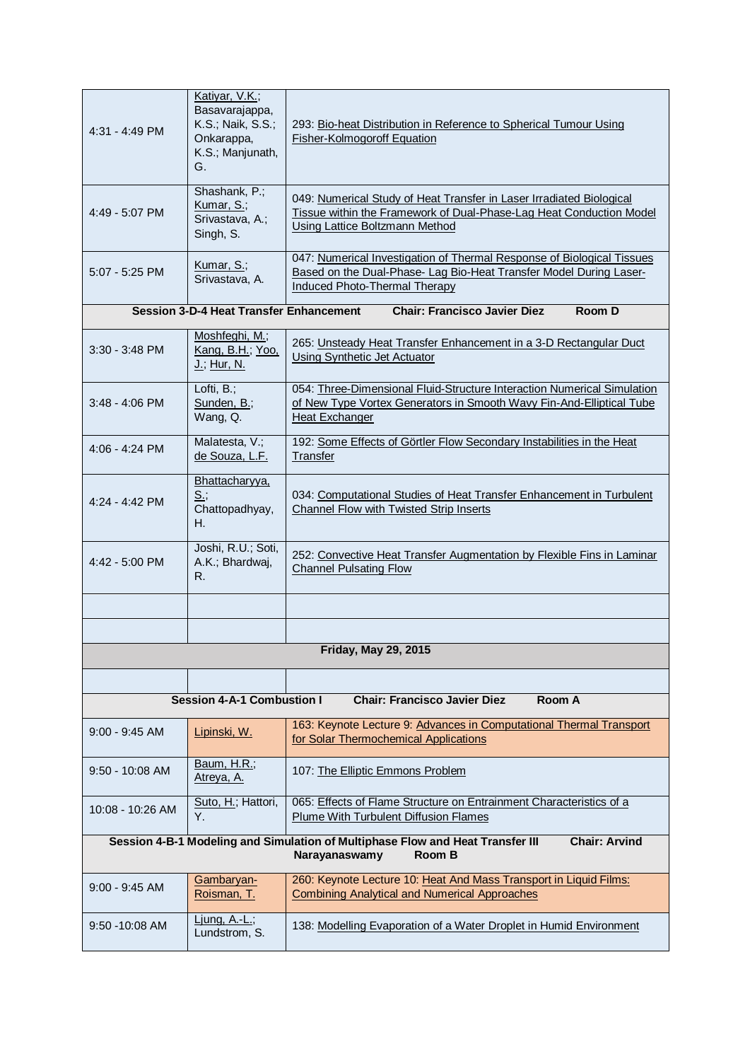| $4:31 - 4:49$ PM                                                                                                                         | Katiyar, V.K.;<br>Basavarajappa,<br>K.S.; Naik, S.S.;<br>Onkarappa,<br>K.S.; Manjunath,<br>G. | 293: Bio-heat Distribution in Reference to Spherical Tumour Using<br>Fisher-Kolmogoroff Equation                                                                                     |
|------------------------------------------------------------------------------------------------------------------------------------------|-----------------------------------------------------------------------------------------------|--------------------------------------------------------------------------------------------------------------------------------------------------------------------------------------|
| 4:49 - 5:07 PM                                                                                                                           | Shashank, P.;<br>Kumar, S.;<br>Srivastava, A.;<br>Singh, S.                                   | 049: Numerical Study of Heat Transfer in Laser Irradiated Biological<br>Tissue within the Framework of Dual-Phase-Lag Heat Conduction Model<br><b>Using Lattice Boltzmann Method</b> |
| $5:07 - 5:25$ PM                                                                                                                         | Kumar, S.;<br>Srivastava, A.                                                                  | 047: Numerical Investigation of Thermal Response of Biological Tissues<br>Based on the Dual-Phase- Lag Bio-Heat Transfer Model During Laser-<br><b>Induced Photo-Thermal Therapy</b> |
|                                                                                                                                          | <b>Session 3-D-4 Heat Transfer Enhancement</b>                                                | <b>Chair: Francisco Javier Diez</b><br>Room D                                                                                                                                        |
| $3:30 - 3:48$ PM                                                                                                                         | Moshfeghi, M.;<br>Kang, B.H.; Yoo,<br><u> J.; Hur, N.</u>                                     | 265: Unsteady Heat Transfer Enhancement in a 3-D Rectangular Duct<br><b>Using Synthetic Jet Actuator</b>                                                                             |
| $3:48 - 4:06$ PM                                                                                                                         | Lofti, B.;<br>Sunden, B.;<br>Wang, Q.                                                         | 054: Three-Dimensional Fluid-Structure Interaction Numerical Simulation<br>of New Type Vortex Generators in Smooth Wavy Fin-And-Elliptical Tube<br><b>Heat Exchanger</b>             |
| $4:06 - 4:24$ PM                                                                                                                         | Malatesta, V.;<br>de Souza, L.F.                                                              | 192: Some Effects of Görtler Flow Secondary Instabilities in the Heat<br>Transfer                                                                                                    |
| $4:24 - 4:42$ PM                                                                                                                         | Bhattacharyya,<br><u>S.;</u><br>Chattopadhyay,<br>Η.                                          | 034: Computational Studies of Heat Transfer Enhancement in Turbulent<br><b>Channel Flow with Twisted Strip Inserts</b>                                                               |
| 4:42 - 5:00 PM                                                                                                                           | Joshi, R.U.; Soti,<br>A.K.; Bhardwaj,<br>R.                                                   | 252: Convective Heat Transfer Augmentation by Flexible Fins in Laminar<br><b>Channel Pulsating Flow</b>                                                                              |
|                                                                                                                                          |                                                                                               |                                                                                                                                                                                      |
|                                                                                                                                          |                                                                                               |                                                                                                                                                                                      |
|                                                                                                                                          |                                                                                               | <b>Friday, May 29, 2015</b>                                                                                                                                                          |
|                                                                                                                                          |                                                                                               |                                                                                                                                                                                      |
|                                                                                                                                          | <b>Session 4-A-1 Combustion I</b>                                                             | <b>Chair: Francisco Javier Diez</b><br>Room A                                                                                                                                        |
| $9:00 - 9:45$ AM                                                                                                                         | Lipinski, W.                                                                                  | 163: Keynote Lecture 9: Advances in Computational Thermal Transport<br>for Solar Thermochemical Applications                                                                         |
| 9:50 - 10:08 AM                                                                                                                          | Baum, H.R.;<br><u>Atreya, A.</u>                                                              | 107: The Elliptic Emmons Problem                                                                                                                                                     |
| 10:08 - 10:26 AM                                                                                                                         | Suto, H.; Hattori,<br>Y.                                                                      | 065: Effects of Flame Structure on Entrainment Characteristics of a<br>Plume With Turbulent Diffusion Flames                                                                         |
| Session 4-B-1 Modeling and Simulation of Multiphase Flow and Heat Transfer III<br><b>Chair: Arvind</b><br>Narayanaswamy<br><b>Room B</b> |                                                                                               |                                                                                                                                                                                      |
| 9:00 - 9:45 AM                                                                                                                           | Gambaryan-<br>Roisman, T.                                                                     | 260: Keynote Lecture 10: Heat And Mass Transport in Liquid Films:<br><b>Combining Analytical and Numerical Approaches</b>                                                            |
| 9:50 - 10:08 AM                                                                                                                          | Ljung, A.-L.;<br>Lundstrom, S.                                                                | 138: Modelling Evaporation of a Water Droplet in Humid Environment                                                                                                                   |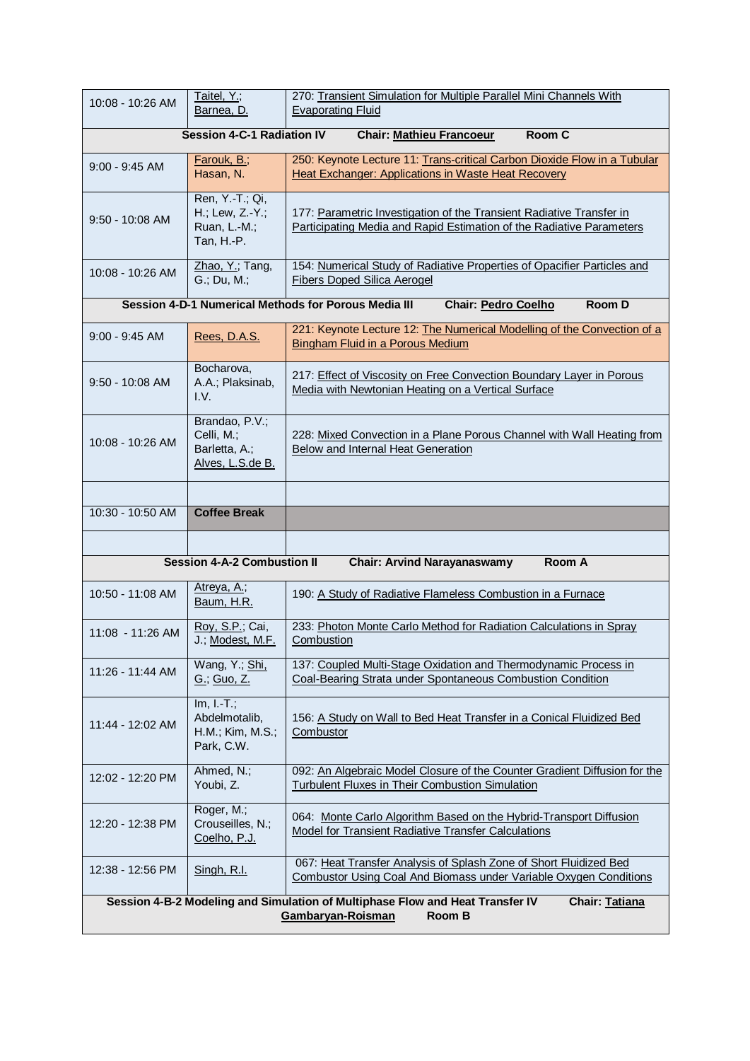| 10:08 - 10:26 AM                                                               | Taitel, Y.;<br>Barnea, D.                                         | 270: Transient Simulation for Multiple Parallel Mini Channels With<br><b>Evaporating Fluid</b>                                               |  |
|--------------------------------------------------------------------------------|-------------------------------------------------------------------|----------------------------------------------------------------------------------------------------------------------------------------------|--|
| <b>Session 4-C-1 Radiation IV</b><br>Room C<br><b>Chair: Mathieu Francoeur</b> |                                                                   |                                                                                                                                              |  |
| $9:00 - 9:45$ AM                                                               | <b>Farouk, B.;</b><br>Hasan, N.                                   | 250: Keynote Lecture 11: Trans-critical Carbon Dioxide Flow in a Tubular<br><b>Heat Exchanger: Applications in Waste Heat Recovery</b>       |  |
| $9:50 - 10:08$ AM                                                              | Ren, Y.-T.; Qi,<br>H.; Lew, Z.-Y.;<br>Ruan, L.-M.;<br>Tan, H.-P.  | 177: Parametric Investigation of the Transient Radiative Transfer in<br>Participating Media and Rapid Estimation of the Radiative Parameters |  |
| 10:08 - 10:26 AM                                                               | Zhao, Y.; Tang,<br>G.; Du, M.;                                    | 154: Numerical Study of Radiative Properties of Opacifier Particles and<br><b>Fibers Doped Silica Aerogel</b>                                |  |
|                                                                                |                                                                   | Session 4-D-1 Numerical Methods for Porous Media III<br><b>Room D</b><br><b>Chair: Pedro Coelho</b>                                          |  |
| $9:00 - 9:45$ AM                                                               | Rees, D.A.S.                                                      | 221: Keynote Lecture 12: The Numerical Modelling of the Convection of a<br><b>Bingham Fluid in a Porous Medium</b>                           |  |
| $9:50 - 10:08$ AM                                                              | Bocharova,<br>A.A.; Plaksinab,<br>I.V.                            | 217: Effect of Viscosity on Free Convection Boundary Layer in Porous<br>Media with Newtonian Heating on a Vertical Surface                   |  |
| 10:08 - 10:26 AM                                                               | Brandao, P.V.;<br>Celli, M.;<br>Barletta, A.;<br>Alves, L.S.de B. | 228: Mixed Convection in a Plane Porous Channel with Wall Heating from<br>Below and Internal Heat Generation                                 |  |
|                                                                                |                                                                   |                                                                                                                                              |  |
|                                                                                |                                                                   |                                                                                                                                              |  |
| 10:30 - 10:50 AM                                                               | <b>Coffee Break</b>                                               |                                                                                                                                              |  |
|                                                                                |                                                                   |                                                                                                                                              |  |
|                                                                                | <b>Session 4-A-2 Combustion II</b>                                | <b>Chair: Arvind Narayanaswamy</b><br>Room A                                                                                                 |  |
| 10:50 - 11:08 AM                                                               | Atreya, A.;<br>Baum, H.R.                                         | 190: A Study of Radiative Flameless Combustion in a Furnace                                                                                  |  |
| 11:08 - 11:26 AM                                                               | Roy, S.P.; Cai,<br>J.; Modest, M.F.                               | 233: Photon Monte Carlo Method for Radiation Calculations in Spray<br>Combustion                                                             |  |
| 11:26 - 11:44 AM                                                               | Wang, Y.; Shi,<br><u>G.; Guo, Z.</u>                              | 137: Coupled Multi-Stage Oxidation and Thermodynamic Process in<br>Coal-Bearing Strata under Spontaneous Combustion Condition                |  |
| 11:44 - 12:02 AM                                                               | $Im, I.-T.$ ;<br>Abdelmotalib,<br>H.M.; Kim, M.S.;<br>Park, C.W.  | 156: A Study on Wall to Bed Heat Transfer in a Conical Fluidized Bed<br>Combustor                                                            |  |
| 12:02 - 12:20 PM                                                               | Ahmed, N.;<br>Youbi, Z.                                           | 092: An Algebraic Model Closure of the Counter Gradient Diffusion for the<br>Turbulent Fluxes in Their Combustion Simulation                 |  |
| 12:20 - 12:38 PM                                                               | Roger, M.;<br>Crouseilles, N.;<br>Coelho, P.J.                    | 064: Monte Carlo Algorithm Based on the Hybrid-Transport Diffusion<br>Model for Transient Radiative Transfer Calculations                    |  |
| 12:38 - 12:56 PM                                                               | Singh, R.I.                                                       | 067: Heat Transfer Analysis of Splash Zone of Short Fluidized Bed<br>Combustor Using Coal And Biomass under Variable Oxygen Conditions       |  |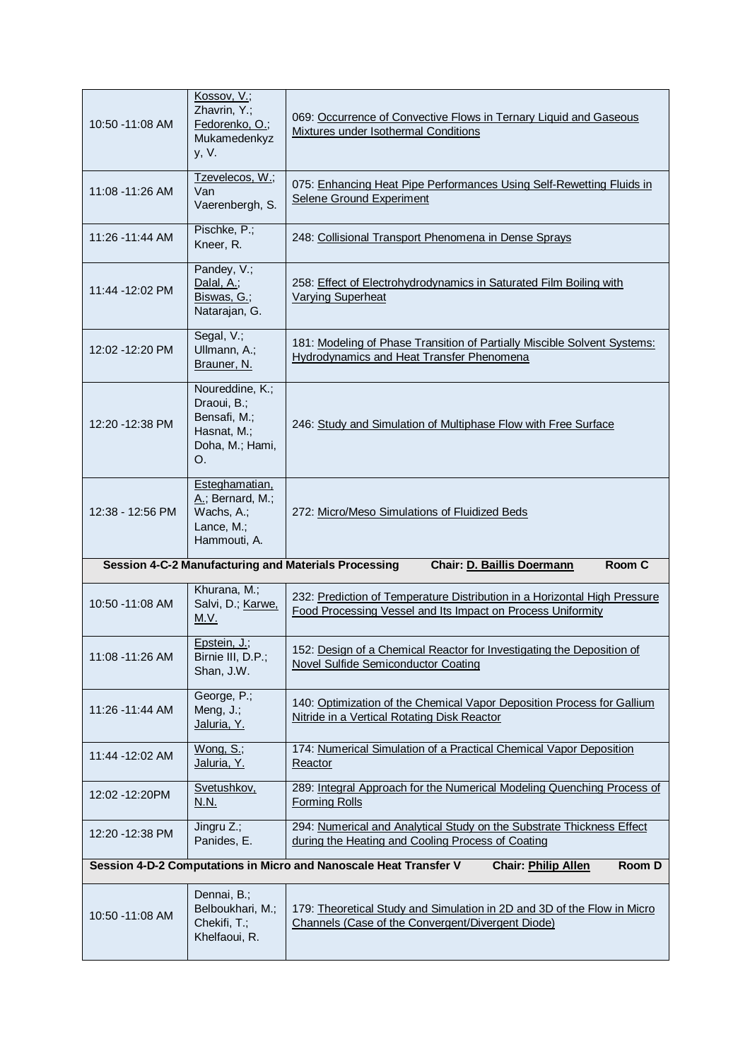| 10:50 - 11:08 AM | Kossov, V.;<br>Zhavrin, Y.;<br>Fedorenko, O.;<br>Mukamedenkyz<br>y, V.                 | 069: Occurrence of Convective Flows in Ternary Liquid and Gaseous<br>Mixtures under Isothermal Conditions                                |
|------------------|----------------------------------------------------------------------------------------|------------------------------------------------------------------------------------------------------------------------------------------|
| 11:08 - 11:26 AM | Tzevelecos, W.;<br>Van<br>Vaerenbergh, S.                                              | 075: Enhancing Heat Pipe Performances Using Self-Rewetting Fluids in<br>Selene Ground Experiment                                         |
| 11:26 - 11:44 AM | Pischke, P.;<br>Kneer, R.                                                              | 248: Collisional Transport Phenomena in Dense Sprays                                                                                     |
| 11:44 -12:02 PM  | Pandey, V.;<br>Dalal, A.;<br>Biswas, G.;<br>Natarajan, G.                              | 258: Effect of Electrohydrodynamics in Saturated Film Boiling with<br><b>Varying Superheat</b>                                           |
| 12:02 - 12:20 PM | Segal, V.;<br>Ullmann, A.;<br>Brauner, N.                                              | 181: Modeling of Phase Transition of Partially Miscible Solvent Systems:<br>Hydrodynamics and Heat Transfer Phenomena                    |
| 12:20 - 12:38 PM | Noureddine, K.;<br>Draoui, B.;<br>Bensafi, M.;<br>Hasnat, M.;<br>Doha, M.; Hami,<br>Ο. | 246: Study and Simulation of Multiphase Flow with Free Surface                                                                           |
| 12:38 - 12:56 PM | Esteghamatian,<br>A.; Bernard, M.;<br>Wachs, A.;<br>Lance, M.;<br>Hammouti, A.         | 272: Micro/Meso Simulations of Fluidized Beds                                                                                            |
|                  |                                                                                        | Room C<br><b>Chair: D. Baillis Doermann</b><br>Session 4-C-2 Manufacturing and Materials Processing                                      |
| 10:50 - 11:08 AM | Khurana, M.;<br>Salvi, D.; Karwe,<br>M.V.                                              | 232: Prediction of Temperature Distribution in a Horizontal High Pressure<br>Food Processing Vessel and Its Impact on Process Uniformity |
| 11:08 -11:26 AM  | Epstein, J.;<br>Birnie III, D.P.;<br>Shan, J.W.                                        | 152: Design of a Chemical Reactor for Investigating the Deposition of<br>Novel Sulfide Semiconductor Coating                             |
| 11:26 - 11:44 AM | George, P.;<br>Meng, J.;<br>Jaluria, Y.                                                | 140: Optimization of the Chemical Vapor Deposition Process for Gallium<br>Nitride in a Vertical Rotating Disk Reactor                    |
| 11:44 -12:02 AM  | Wong, S.;<br>Jaluria, Y.                                                               | 174: Numerical Simulation of a Practical Chemical Vapor Deposition<br>Reactor                                                            |
| 12:02 - 12:20 PM | Svetushkov,<br><u>N.N.</u>                                                             | 289: Integral Approach for the Numerical Modeling Quenching Process of<br><b>Forming Rolls</b>                                           |
| 12:20 - 12:38 PM | Jingru Z.;<br>Panides, E.                                                              | 294: Numerical and Analytical Study on the Substrate Thickness Effect<br>during the Heating and Cooling Process of Coating               |
|                  |                                                                                        | Session 4-D-2 Computations in Micro and Nanoscale Heat Transfer V<br>Room D<br><b>Chair: Philip Allen</b>                                |
| 10:50 - 11:08 AM | Dennai, B.;<br>Belboukhari, M.;<br>Chekifi, T.;<br>Khelfaoui, R.                       | 179: Theoretical Study and Simulation in 2D and 3D of the Flow in Micro<br>Channels (Case of the Convergent/Divergent Diode)             |